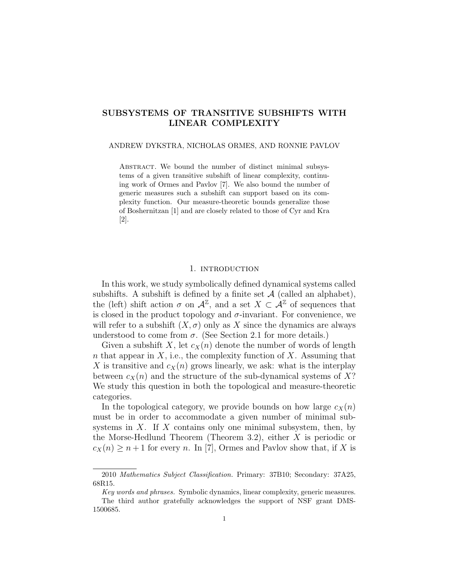# SUBSYSTEMS OF TRANSITIVE SUBSHIFTS WITH LINEAR COMPLEXITY

#### ANDREW DYKSTRA, NICHOLAS ORMES, AND RONNIE PAVLOV

ABSTRACT. We bound the number of distinct minimal subsystems of a given transitive subshift of linear complexity, continuing work of Ormes and Pavlov [7]. We also bound the number of generic measures such a subshift can support based on its complexity function. Our measure-theoretic bounds generalize those of Boshernitzan [1] and are closely related to those of Cyr and Kra [2].

#### 1. INTRODUCTION

In this work, we study symbolically defined dynamical systems called subshifts. A subshift is defined by a finite set  $A$  (called an alphabet), the (left) shift action  $\sigma$  on  $\mathcal{A}^{\mathbb{Z}}$ , and a set  $X \subset \mathcal{A}^{\mathbb{Z}}$  of sequences that is closed in the product topology and  $\sigma$ -invariant. For convenience, we will refer to a subshift  $(X, \sigma)$  only as X since the dynamics are always understood to come from  $\sigma$ . (See Section 2.1 for more details.)

Given a subshift X, let  $c_X(n)$  denote the number of words of length n that appear in  $X$ , i.e., the complexity function of  $X$ . Assuming that X is transitive and  $c_X(n)$  grows linearly, we ask: what is the interplay between  $c_X(n)$  and the structure of the sub-dynamical systems of X? We study this question in both the topological and measure-theoretic categories.

In the topological category, we provide bounds on how large  $c_X(n)$ must be in order to accommodate a given number of minimal subsystems in  $X$ . If  $X$  contains only one minimal subsystem, then, by the Morse-Hedlund Theorem (Theorem 3.2), either X is periodic or  $c_X(n) \geq n+1$  for every n. In [7], Ormes and Pavlov show that, if X is

1500685.

<sup>2010</sup> Mathematics Subject Classification. Primary: 37B10; Secondary: 37A25, 68R15.

Key words and phrases. Symbolic dynamics, linear complexity, generic measures. The third author gratefully acknowledges the support of NSF grant DMS-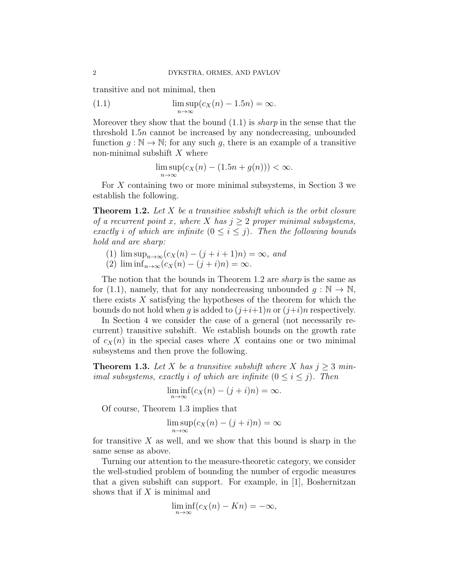transitive and not minimal, then

(1.1) 
$$
\limsup_{n \to \infty} (c_X(n) - 1.5n) = \infty.
$$

Moreover they show that the bound  $(1.1)$  is *sharp* in the sense that the threshold 1.5n cannot be increased by any nondecreasing, unbounded function  $q : \mathbb{N} \to \mathbb{N}$ ; for any such q, there is an example of a transitive non-minimal subshift  $X$  where

$$
\limsup_{n \to \infty} (c_X(n) - (1.5n + g(n))) < \infty.
$$

For X containing two or more minimal subsystems, in Section 3 we establish the following.

**Theorem 1.2.** Let X be a transitive subshift which is the orbit closure of a recurrent point x, where X has  $j \geq 2$  proper minimal subsystems, exactly i of which are infinite  $(0 \le i \le j)$ . Then the following bounds hold and are sharp:

- (1)  $\limsup_{n\to\infty}$   $(c_X(n) (j+i+1)n) = \infty$ , and
- (2)  $\liminf_{n\to\infty}$   $(c_X(n) (j+i)n) = \infty$ .

The notion that the bounds in Theorem 1.2 are sharp is the same as for (1.1), namely, that for any nondecreasing unbounded  $q : \mathbb{N} \to \mathbb{N}$ , there exists  $X$  satisfying the hypotheses of the theorem for which the bounds do not hold when g is added to  $(j+i+1)n$  or  $(j+i)n$  respectively.

In Section 4 we consider the case of a general (not necessarily recurrent) transitive subshift. We establish bounds on the growth rate of  $c_X(n)$  in the special cases where X contains one or two minimal subsystems and then prove the following.

**Theorem 1.3.** Let X be a transitive subshift where X has  $j \geq 3$  minimal subsystems, exactly i of which are infinite  $(0 \le i \le j)$ . Then

$$
\liminf_{n \to \infty} (c_X(n) - (j + i)n) = \infty.
$$

Of course, Theorem 1.3 implies that

$$
\limsup_{n \to \infty} (c_X(n) - (j + i)n) = \infty
$$

for transitive  $X$  as well, and we show that this bound is sharp in the same sense as above.

Turning our attention to the measure-theoretic category, we consider the well-studied problem of bounding the number of ergodic measures that a given subshift can support. For example, in [1], Boshernitzan shows that if  $X$  is minimal and

$$
\liminf_{n \to \infty} (c_X(n) - Kn) = -\infty,
$$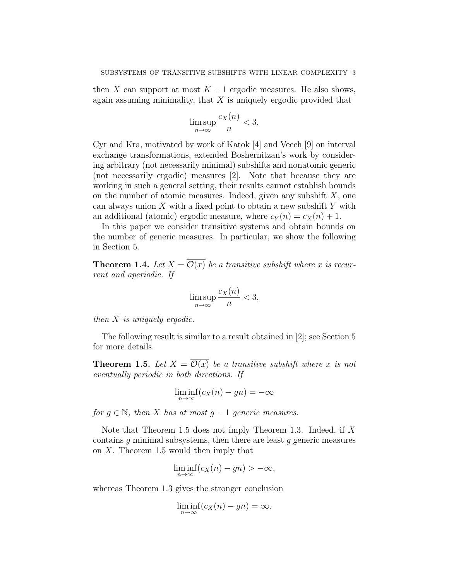then X can support at most  $K - 1$  ergodic measures. He also shows, again assuming minimality, that  $X$  is uniquely ergodic provided that

$$
\limsup_{n \to \infty} \frac{c_X(n)}{n} < 3.
$$

Cyr and Kra, motivated by work of Katok [4] and Veech [9] on interval exchange transformations, extended Boshernitzan's work by considering arbitrary (not necessarily minimal) subshifts and nonatomic generic (not necessarily ergodic) measures [2]. Note that because they are working in such a general setting, their results cannot establish bounds on the number of atomic measures. Indeed, given any subshift  $X$ , one can always union  $X$  with a fixed point to obtain a new subshift  $Y$  with an additional (atomic) ergodic measure, where  $c_Y(n) = c_X(n) + 1$ .

In this paper we consider transitive systems and obtain bounds on the number of generic measures. In particular, we show the following in Section 5.

**Theorem 1.4.** Let  $X = \mathcal{O}(x)$  be a transitive subshift where x is recurrent and aperiodic. If

$$
\limsup_{n \to \infty} \frac{c_X(n)}{n} < 3,
$$

then X is uniquely ergodic.

The following result is similar to a result obtained in [2]; see Section 5 for more details.

**Theorem 1.5.** Let  $X = \overline{\mathcal{O}(x)}$  be a transitive subshift where x is not eventually periodic in both directions. If

$$
\liminf_{n \to \infty} (c_X(n) - gn) = -\infty
$$

for  $g \in \mathbb{N}$ , then X has at most  $g - 1$  generic measures.

Note that Theorem 1.5 does not imply Theorem 1.3. Indeed, if X contains  $g$  minimal subsystems, then there are least  $g$  generic measures on  $X$ . Theorem 1.5 would then imply that

$$
\liminf_{n \to \infty} (c_X(n) - gn) > -\infty,
$$

whereas Theorem 1.3 gives the stronger conclusion

$$
\liminf_{n \to \infty} (c_X(n) - gn) = \infty.
$$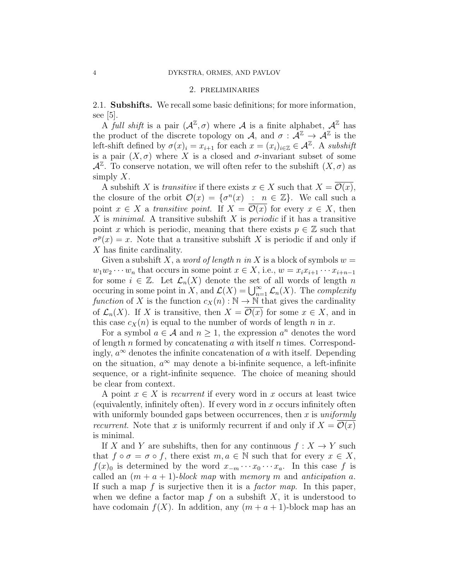#### 2. preliminaries

2.1. Subshifts. We recall some basic definitions; for more information, see  $|5|$ .

A full shift is a pair  $(\mathcal{A}^{\mathbb{Z}}, \sigma)$  where A is a finite alphabet,  $\mathcal{A}^{\mathbb{Z}}$  has the product of the discrete topology on A, and  $\sigma : \tilde{\mathcal{A}}^{\mathbb{Z}} \to \tilde{\mathcal{A}}^{\mathbb{Z}}$  is the left-shift defined by  $\sigma(x)_i = x_{i+1}$  for each  $x = (x_i)_{i \in \mathbb{Z}} \in \mathcal{A}^{\mathbb{Z}}$ . A subshift is a pair  $(X, \sigma)$  where X is a closed and  $\sigma$ -invariant subset of some  $\mathcal{A}^{\mathbb{Z}}$ . To conserve notation, we will often refer to the subshift  $(X, \sigma)$  as simply  $X$ .

A subshift X is transitive if there exists  $x \in X$  such that  $X = \mathcal{O}(x)$ , the closure of the orbit  $\mathcal{O}(x) = \{ \sigma^n(x) : n \in \mathbb{Z} \}$ . We call such a point  $x \in X$  a transitive point. If  $X = \mathcal{O}(x)$  for every  $x \in X$ , then X is minimal. A transitive subshift X is *periodic* if it has a transitive point x which is periodic, meaning that there exists  $p \in \mathbb{Z}$  such that  $\sigma^p(x) = x$ . Note that a transitive subshift X is periodic if and only if X has finite cardinality.

Given a subshift X, a *word of length* n in X is a block of symbols  $w =$  $w_1w_2 \cdots w_n$  that occurs in some point  $x \in X$ , i.e.,  $w = x_ix_{i+1} \cdots x_{i+n-1}$ for some  $i \in \mathbb{Z}$ . Let  $\mathcal{L}_n(X)$  denote the set of all words of length n occuring in some point in X, and  $\mathcal{L}(X) = \bigcup_{n=1}^{\infty} \mathcal{L}_n(X)$ . The *complexity* function of X is the function  $c_X(n) : \mathbb{N} \to \mathbb{N}$  that gives the cardinality of  $\mathcal{L}_n(X)$ . If X is transitive, then  $X = \mathcal{O}(x)$  for some  $x \in X$ , and in this case  $c_X(n)$  is equal to the number of words of length n in x.

For a symbol  $a \in \mathcal{A}$  and  $n \geq 1$ , the expression  $a^n$  denotes the word of length n formed by concatenating a with itself n times. Correspondingly,  $a^{\infty}$  denotes the infinite concatenation of a with itself. Depending on the situation,  $a^{\infty}$  may denote a bi-infinite sequence, a left-infinite sequence, or a right-infinite sequence. The choice of meaning should be clear from context.

A point  $x \in X$  is recurrent if every word in x occurs at least twice (equivalently, infinitely often). If every word in  $x$  occurs infinitely often with uniformly bounded gaps between occurrences, then  $x$  is *uniformly recurrent*. Note that x is uniformly recurrent if and only if  $X = \mathcal{O}(x)$ is minimal.

If X and Y are subshifts, then for any continuous  $f: X \to Y$  such that  $f \circ \sigma = \sigma \circ f$ , there exist  $m, a \in \mathbb{N}$  such that for every  $x \in X$ ,  $f(x)_0$  is determined by the word  $x_{-m} \cdots x_0 \cdots x_a$ . In this case f is called an  $(m + a + 1)$ -block map with memory m and anticipation a. If such a map  $f$  is surjective then it is a *factor map*. In this paper, when we define a factor map  $f$  on a subshift  $X$ , it is understood to have codomain  $f(X)$ . In addition, any  $(m + a + 1)$ -block map has an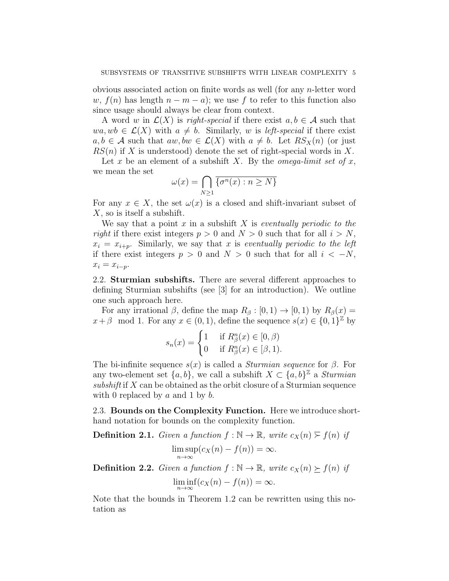obvious associated action on finite words as well (for any n-letter word w,  $f(n)$  has length  $n - m - a$ ; we use f to refer to this function also since usage should always be clear from context.

A word w in  $\mathcal{L}(X)$  is *right-special* if there exist  $a, b \in \mathcal{A}$  such that  $wa, wb \in \mathcal{L}(X)$  with  $a \neq b$ . Similarly, w is *left-special* if there exist  $a, b \in \mathcal{A}$  such that  $aw, bw \in \mathcal{L}(X)$  with  $a \neq b$ . Let  $RS_X(n)$  (or just  $RS(n)$  if X is understood) denote the set of right-special words in X.

Let x be an element of a subshift X. By the *omega-limit set of* x, we mean the set

$$
\omega(x) = \bigcap_{N \ge 1} \overline{\{\sigma^n(x) : n \ge N\}}
$$

For any  $x \in X$ , the set  $\omega(x)$  is a closed and shift-invariant subset of X, so is itself a subshift.

We say that a point x in a subshift X is eventually periodic to the right if there exist integers  $p > 0$  and  $N > 0$  such that for all  $i > N$ ,  $x_i = x_{i+p}$ . Similarly, we say that x is eventually periodic to the left if there exist integers  $p > 0$  and  $N > 0$  such that for all  $i < -N$ ,  $x_i = x_{i-p}.$ 

2.2. Sturmian subshifts. There are several different approaches to defining Sturmian subshifts (see [3] for an introduction). We outline one such approach here.

For any irrational  $\beta$ , define the map  $R_\beta : [0, 1) \to [0, 1)$  by  $R_\beta(x) =$  $x+\beta \mod 1$ . For any  $x \in (0,1)$ , define the sequence  $s(x) \in \{0,1\}^{\mathbb{Z}}$  by

$$
s_n(x) = \begin{cases} 1 & \text{if } R^n_{\beta}(x) \in [0, \beta) \\ 0 & \text{if } R^n_{\beta}(x) \in [\beta, 1). \end{cases}
$$

The bi-infinite sequence  $s(x)$  is called a *Sturmian sequence* for  $\beta$ . For any two-element set  $\{a, b\}$ , we call a subshift  $X \subset \{a, b\}^{\mathbb{Z}}$  a *Sturmian* subshift if X can be obtained as the orbit closure of a Sturmian sequence with 0 replaced by  $a$  and 1 by  $b$ .

2.3. Bounds on the Complexity Function. Here we introduce shorthand notation for bounds on the complexity function.

**Definition 2.1.** Given a function  $f : \mathbb{N} \to \mathbb{R}$ , write  $c_X(n) \ge f(n)$  if lim sup  $\max_{n\to\infty} (c_X(n) - f(n)) = \infty.$ **Definition 2.2.** Given a function  $f : \mathbb{N} \to \mathbb{R}$ , write  $c_X(n) \succ f(n)$  if

$$
\liminf_{n \to \infty} (c_X(n) - f(n)) = \infty.
$$

Note that the bounds in Theorem 1.2 can be rewritten using this notation as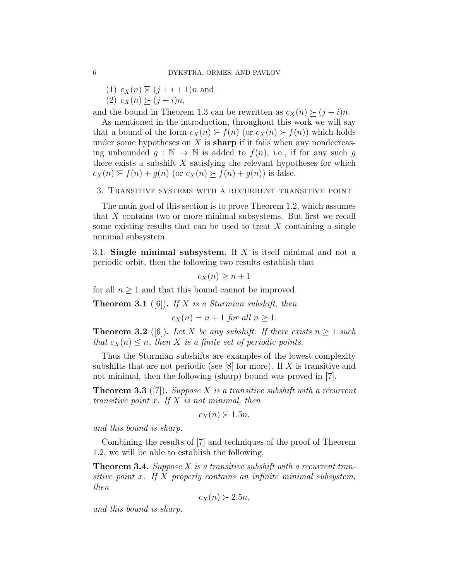$(1)$   $c_X(n) \geq (j + i + 1)n$  and

(2)  $c_X(n) \ge (j + i)n$ ,

and the bound in Theorem 1.3 can be rewritten as  $c_X(n) \geq (j + i)n$ .

As mentioned in the introduction, throughout this work we will say that a bound of the form  $c_X(n) \geq f(n)$  (or  $c_X(n) > f(n)$ ) which holds under some hypotheses on  $X$  is **sharp** if it fails when any nondecreasing unbounded  $g : \mathbb{N} \to \mathbb{N}$  is added to  $f(n)$ , i.e., if for any such g there exists a subshift  $X$  satisfying the relevant hypotheses for which  $c_X(n) \ge f(n) + g(n)$  (or  $c_X(n) \ge f(n) + g(n)$ ) is false.

## 3. Transitive systems with a recurrent transitive point

The main goal of this section is to prove Theorem 1.2, which assumes that X contains two or more minimal subsystems. But first we recall some existing results that can be used to treat  $X$  containing a single minimal subsystem.

3.1. Single minimal subsystem. If  $X$  is itself minimal and not a periodic orbit, then the following two results establish that

 $c_X(n) > n + 1$ 

for all  $n \geq 1$  and that this bound cannot be improved.

**Theorem 3.1** ([6]). If X is a Sturmian subshift, then

$$
c_X(n) = n + 1 \text{ for all } n \ge 1.
$$

**Theorem 3.2** ([6]). Let X be any subshift. If there exists  $n \geq 1$  such that  $c_X(n) \leq n$ , then X is a finite set of periodic points.

Thus the Sturmian subshifts are examples of the lowest complexity subshifts that are not periodic (see  $[8]$  for more). If X is transitive and not minimal, then the following (sharp) bound was proved in [7].

**Theorem 3.3** ([7]). Suppose X is a transitive subshift with a recurrent transitive point  $x$ . If  $X$  is not minimal, then

$$
c_X(n) \geq 1.5n,
$$

and this bound is sharp.

Combining the results of [7] and techniques of the proof of Theorem 1.2, we will be able to establish the following.

**Theorem 3.4.** Suppose X is a transitive subshift with a recurrent transitive point x. If  $X$  properly contains an infinite minimal subsystem, then

$$
c_X(n) \geq 2.5n,
$$

and this bound is sharp.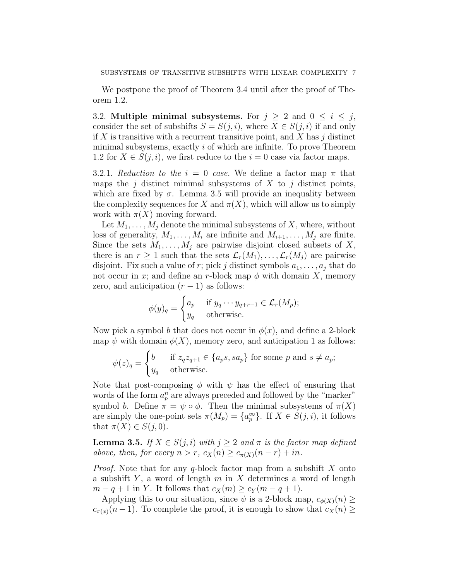We postpone the proof of Theorem 3.4 until after the proof of Theorem 1.2.

3.2. Multiple minimal subsystems. For  $j \geq 2$  and  $0 \leq i \leq j$ , consider the set of subshifts  $S = S(j, i)$ , where  $X \in S(j, i)$  if and only if X is transitive with a recurrent transitive point, and X has  $j$  distinct minimal subsystems, exactly  $i$  of which are infinite. To prove Theorem 1.2 for  $X \in S(j, i)$ , we first reduce to the  $i = 0$  case via factor maps.

3.2.1. Reduction to the  $i = 0$  case. We define a factor map  $\pi$  that maps the j distinct minimal subsystems of  $X$  to j distinct points, which are fixed by  $\sigma$ . Lemma 3.5 will provide an inequality between the complexity sequences for X and  $\pi(X)$ , which will allow us to simply work with  $\pi(X)$  moving forward.

Let  $M_1, \ldots, M_j$  denote the minimal subsystems of X, where, without loss of generality,  $M_1, \ldots, M_i$  are infinite and  $M_{i+1}, \ldots, M_i$  are finite. Since the sets  $M_1, \ldots, M_j$  are pairwise disjoint closed subsets of X, there is an  $r \geq 1$  such that the sets  $\mathcal{L}_r(M_1), \ldots, \mathcal{L}_r(M_j)$  are pairwise disjoint. Fix such a value of r; pick j distinct symbols  $a_1, \ldots, a_j$  that do not occur in x; and define an r-block map  $\phi$  with domain X, memory zero, and anticipation  $(r-1)$  as follows:

$$
\phi(y)_q = \begin{cases} a_p & \text{if } y_q \cdots y_{q+r-1} \in \mathcal{L}_r(M_p); \\ y_q & \text{otherwise.} \end{cases}
$$

Now pick a symbol b that does not occur in  $\phi(x)$ , and define a 2-block map  $\psi$  with domain  $\phi(X)$ , memory zero, and anticipation 1 as follows:

$$
\psi(z)_q = \begin{cases} b & \text{if } z_q z_{q+1} \in \{a_p s, s a_p\} \text{ for some } p \text{ and } s \neq a_p; \\ y_q & \text{otherwise.} \end{cases}
$$

Note that post-composing  $\phi$  with  $\psi$  has the effect of ensuring that words of the form  $a_p^n$  are always preceded and followed by the "marker" symbol b. Define  $\pi = \psi \circ \phi$ . Then the minimal subsystems of  $\pi(X)$ are simply the one-point sets  $\pi(M_p) = \{a_p^{\infty}\}\$ . If  $X \in S(j, i)$ , it follows that  $\pi(X) \in S(j, 0)$ .

**Lemma 3.5.** If  $X \in S(j,i)$  with  $j \geq 2$  and  $\pi$  is the factor map defined above, then, for every  $n > r$ ,  $c_X(n) \geq c_{\pi(X)}(n-r) + in$ .

*Proof.* Note that for any  $q$ -block factor map from a subshift X onto a subshift Y, a word of length  $m$  in X determines a word of length  $m-q+1$  in Y. It follows that  $c_X(m) \geq c_Y(m-q+1)$ .

Applying this to our situation, since  $\psi$  is a 2-block map,  $c_{\phi(X)}(n) \geq$  $c_{\pi(x)}(n-1)$ . To complete the proof, it is enough to show that  $c_X(n) \geq$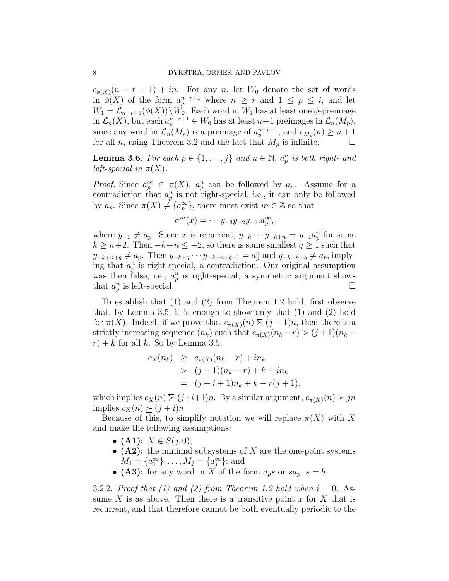$c_{\phi(X)}(n-r+1) + in$ . For any n, let  $W_0$  denote the set of words in  $\phi(X)$  of the form  $a_p^{n-r+1}$  where  $n \geq r$  and  $1 \leq p \leq i$ , and let  $W_1 = \mathcal{L}_{n-r+1}(\phi(X)) \backslash W_0$ . Each word in  $W_1$  has at least one  $\phi$ -preimage in  $\mathcal{L}_n(X)$ , but each  $a_p^{n-r+1} \in W_0$  has at least  $n+1$  preimages in  $\mathcal{L}_n(M_p)$ , since any word in  $\mathcal{L}_n(M_p)$  is a preimage of  $a_p^{n-r+1}$ , and  $c_{M_p}(n) \geq n+1$ for all *n*, using Theorem 3.2 and the fact that  $M_p$  is infinite.  $\Box$ 

**Lemma 3.6.** For each  $p \in \{1, ..., j\}$  and  $n \in \mathbb{N}$ ,  $a_p^n$  is both right- and left-special in  $\pi(X)$ .

*Proof.* Since  $a_p^{\infty} \in \pi(X)$ ,  $a_p^n$  can be followed by  $a_p$ . Assume for a contradiction that  $a_p^n$  is not right-special, i.e., it can only be followed by  $a_p$ . Since  $\pi(X) \neq \{a_p^{\infty}\}\$ , there must exist  $m \in \mathbb{Z}$  so that

$$
\sigma^m(x) = \cdots y_{-3}y_{-2}y_{-1}.a_p^{\infty},
$$

where  $y_{-1} \neq a_p$ . Since x is recurrent,  $y_{-k} \cdots y_{-k+n} = y_{-1} a_p^n$  for some  $k \geq n+2$ . Then  $-k+n \leq -2$ , so there is some smallest  $q \geq 1$  such that  $y_{-k+n+q} \neq a_p$ . Then  $y_{-k+q} \cdots y_{-k+n+q-1} = a_p^n$  and  $y_{-k+n+q} \neq a_p$ , implying that  $a_p^n$  is right-special, a contradiction. Our original assumption was then false, i.e.,  $a_p^n$  is right-special; a symmetric argument shows that  $a_p^n$  is left-special.

To establish that (1) and (2) from Theorem 1.2 hold, first observe that, by Lemma 3.5, it is enough to show only that (1) and (2) hold for  $\pi(X)$ . Indeed, if we prove that  $c_{\pi(X)}(n) \geq (j+1)n$ , then there is a strictly increasing sequence  $(n_k)$  such that  $c_{\pi(X)}(n_k - r) > (j+1)(n_k - r)$  $r$ ) + k for all k. So by Lemma 3.5,

$$
c_X(n_k) \geq c_{\pi(X)}(n_k - r) + in_k
$$
  
>  $(j + 1)(n_k - r) + k + in_k$   
=  $(j + i + 1)n_k + k - r(j + 1),$ 

which implies  $c_X(n) \geq (j+i+1)n$ . By a similar argument,  $c_{\pi(X)}(n) \geq jn$ implies  $c_X(n) \succ (i + i)n$ .

Because of this, to simplify notation we will replace  $\pi(X)$  with X and make the following assumptions:

- (A1):  $X \in S(j, 0)$ ;
- $(A2)$ : the minimal subsystems of X are the one-point systems  $M_1 = \{a_1^{\infty}\}, \ldots, M_j = \{a_j^{\infty}\}\; \text{and}$
- (A3): for any word in X of the form  $a_p s$  or  $sa_p$ ,  $s = b$ .

3.2.2. Proof that (1) and (2) from Theorem 1.2 hold when  $i = 0$ . Assume X is as above. Then there is a transitive point x for X that is recurrent, and that therefore cannot be both eventually periodic to the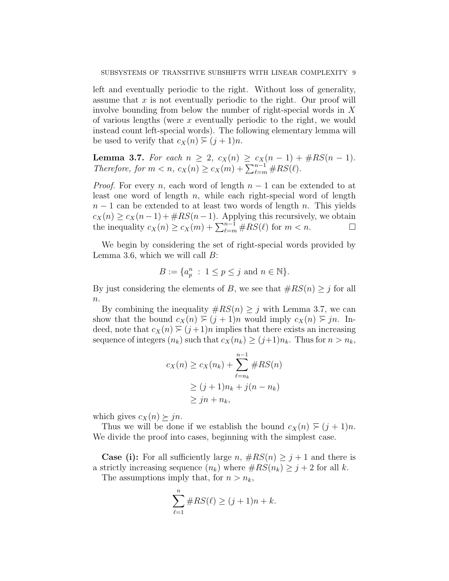left and eventually periodic to the right. Without loss of generality, assume that  $x$  is not eventually periodic to the right. Our proof will involve bounding from below the number of right-special words in X of various lengths (were  $x$  eventually periodic to the right, we would instead count left-special words). The following elementary lemma will be used to verify that  $c_X(n) \geq (j + 1)n$ .

**Lemma 3.7.** For each  $n \geq 2$ ,  $c_X(n) \geq c_X(n-1) + \#RS(n-1)$ . Therefore, for  $m < n$ ,  $c_X(n) \ge c_X(m) + \sum_{\ell=m}^{n-1} \#RS(\ell)$ .

*Proof.* For every n, each word of length  $n - 1$  can be extended to at least one word of length  $n$ , while each right-special word of length  $n-1$  can be extended to at least two words of length n. This yields  $c_X(n) \geq c_X(n-1) + \#RS(n-1)$ . Applying this recursively, we obtain the inequality  $c_X(n) \ge c_X(m) + \sum_{\ell=m}^{n-1} \#RS(\ell)$  for  $m < n$ .

We begin by considering the set of right-special words provided by Lemma 3.6, which we will call  $B$ :

$$
B := \{a_p^n : 1 \le p \le j \text{ and } n \in \mathbb{N}\}.
$$

By just considering the elements of B, we see that  $\#RS(n) \geq j$  for all  $\overline{n}$ .

By combining the inequality  $\#RS(n) \geq j$  with Lemma 3.7, we can show that the bound  $c_X(n) \geq (j + 1)n$  would imply  $c_X(n) \geq jn$ . Indeed, note that  $c_X(n) \geq (j+1)n$  implies that there exists an increasing sequence of integers  $(n_k)$  such that  $c_X(n_k) \geq (j+1)n_k$ . Thus for  $n > n_k$ ,

$$
c_X(n) \ge c_X(n_k) + \sum_{\ell=n_k}^{n-1} \#RS(n)
$$
  
\n
$$
\ge (j+1)n_k + j(n-n_k)
$$
  
\n
$$
\ge jn + n_k,
$$

which gives  $c_X(n) \geq jn$ .

Thus we will be done if we establish the bound  $c_X(n) \geq (j+1)n$ . We divide the proof into cases, beginning with the simplest case.

**Case (i):** For all sufficiently large n,  $\#RS(n) \geq j+1$  and there is a strictly increasing sequence  $(n_k)$  where  $\#RS(n_k) \geq j+2$  for all k.

The assumptions imply that, for  $n > n_k$ ,

$$
\sum_{\ell=1}^{n} \#RS(\ell) \ge (j+1)n + k.
$$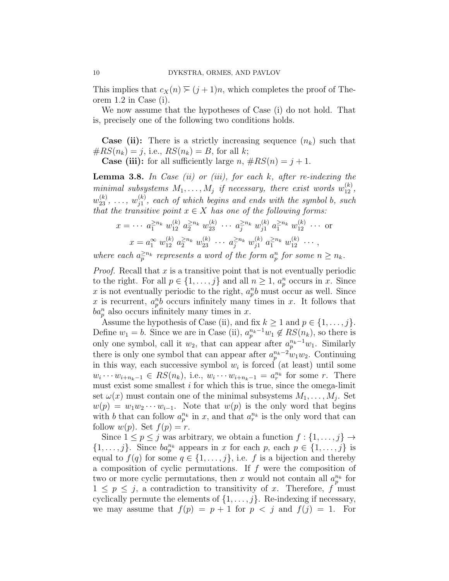This implies that  $c_X(n) \geq (j+1)n$ , which completes the proof of Theorem 1.2 in Case (i).

We now assume that the hypotheses of Case (i) do not hold. That is, precisely one of the following two conditions holds.

**Case (ii):** There is a strictly increasing sequence  $(n_k)$  such that  $\#RS(n_k) = j$ , i.e.,  $RS(n_k) = B$ , for all k;

**Case (iii):** for all sufficiently large  $n, \#RS(n) = j + 1$ .

**Lemma 3.8.** In Case (ii) or (iii), for each  $k$ , after re-indexing the minimal subsystems  $M_1, \ldots, M_j$  if necessary, there exist words  $w_{12}^{(k)}$ ,  $w_{23}^{(k)}, \ldots, w_{j1}^{(k)}$  $j_1^{(k)}$ , each of which begins and ends with the symbol b, such that the transitive point  $x \in X$  has one of the following forms:

$$
x = \cdots \ a_1^{\ge n_k} \ w_{12}^{(k)} \ a_2^{\ge n_k} \ w_{23}^{(k)} \ \cdots \ a_j^{\ge n_k} \ w_{j1}^{(k)} \ a_1^{\ge n_k} \ w_{12}^{(k)} \ \cdots \text{ or}
$$

$$
x = a_1^{\infty} \ w_{12}^{(k)} \ a_2^{\ge n_k} \ w_{23}^{(k)} \ \cdots \ a_j^{\ge n_k} \ w_{j1}^{(k)} \ a_1^{\ge n_k} \ w_{12}^{(k)} \ \cdots ,
$$

where each  $a_p^{\geq n_k}$  represents a word of the form  $a_p^n$  for some  $n \geq n_k$ .

*Proof.* Recall that  $x$  is a transitive point that is not eventually periodic to the right. For all  $p \in \{1, \ldots, j\}$  and all  $n \geq 1$ ,  $a_p^n$  occurs in x. Since x is not eventually periodic to the right,  $a_p^{\{n\}}$  must occur as well. Since x is recurrent,  $a_p^n b$  occurs infinitely many times in x. It follows that  $ba_p^n$  also occurs infinitely many times in x.

Assume the hypothesis of Case (ii), and fix  $k \geq 1$  and  $p \in \{1, \ldots, j\}$ . Define  $w_1 = b$ . Since we are in Case (ii),  $a_p^{n_k-1}w_1 \notin RS(n_k)$ , so there is only one symbol, call it  $w_2$ , that can appear after  $a_p^{n_k-1}w_1$ . Similarly there is only one symbol that can appear after  $a_p^{n_k-2}w_1w_2$ . Continuing in this way, each successive symbol  $w_i$  is forced (at least) until some  $w_i \cdots w_{i+n_k-1} \in RS(n_k)$ , i.e.,  $w_i \cdots w_{i+n_k-1} = a_r^{n_k}$  for some r. There must exist some smallest  $i$  for which this is true, since the omega-limit set  $\omega(x)$  must contain one of the minimal subsystems  $M_1, \ldots, M_j$ . Set  $w(p) = w_1 w_2 \cdots w_{i-1}$ . Note that  $w(p)$  is the only word that begins with b that can follow  $a_p^{n_k}$  in x, and that  $a_r^{n_k}$  is the only word that can follow  $w(p)$ . Set  $f(p) = r$ .

Since  $1 \leq p \leq j$  was arbitrary, we obtain a function  $f: \{1, \ldots, j\} \rightarrow$  $\{1,\ldots,j\}$ . Since  $ba_p^{n_k}$  appears in x for each p, each  $p \in \{1,\ldots,j\}$  is equal to  $f(q)$  for some  $q \in \{1, \ldots, j\}$ , i.e. f is a bijection and thereby a composition of cyclic permutations. If  $f$  were the composition of two or more cyclic permutations, then x would not contain all  $a_p^{n_k}$  for  $1 \leq p \leq j$ , a contradiction to transitivity of x. Therefore, f must cyclically permute the elements of  $\{1, \ldots, j\}$ . Re-indexing if necessary, we may assume that  $f(p) = p + 1$  for  $p < j$  and  $f(j) = 1$ . For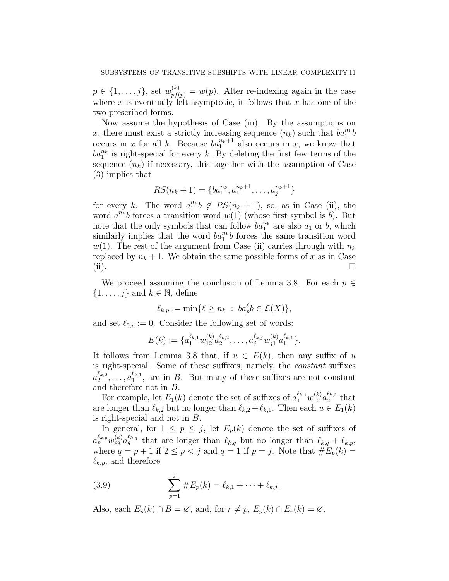$p \in \{1, \ldots, j\}$ , set  $w_{pf(p)}^{(k)} = w(p)$ . After re-indexing again in the case where x is eventually left-asymptotic, it follows that x has one of the two prescribed forms.

Now assume the hypothesis of Case (iii). By the assumptions on x, there must exist a strictly increasing sequence  $(n_k)$  such that  $ba_1^{n_k}b$ occurs in x for all k. Because  $ba_1^{n_k+1}$  also occurs in x, we know that  $ba_1^{n_k}$  is right-special for every k. By deleting the first few terms of the sequence  $(n_k)$  if necessary, this together with the assumption of Case (3) implies that

$$
RS(n_k + 1) = \{ba_1^{n_k}, a_1^{n_k+1}, \dots, a_j^{n_k+1}\}
$$

for every k. The word  $a_1^{n_k}b \notin RS(n_k + 1)$ , so, as in Case (ii), the word  $a_1^{n_k}b$  forces a transition word  $w(1)$  (whose first symbol is b). But note that the only symbols that can follow  $ba_1^{n_k}$  are also  $a_1$  or b, which similarly implies that the word  $ba_1^{n_k}b$  forces the same transition word  $w(1)$ . The rest of the argument from Case (ii) carries through with  $n_k$ replaced by  $n_k + 1$ . We obtain the same possible forms of x as in Case (ii).

We proceed assuming the conclusion of Lemma 3.8. For each  $p \in$  $\{1, \ldots, j\}$  and  $k \in \mathbb{N}$ , define

$$
\ell_{k,p} := \min\{\ell \ge n_k \ : \ ba_p^{\ell}b \in \mathcal{L}(X)\},\
$$

and set  $\ell_{0,p} := 0$ . Consider the following set of words:

$$
E(k):=\{a_1^{\ell_{k,1}}w_{12}^{(k)}a_2^{\ell_{k,2}},\ldots,a_j^{\ell_{k,j}}w_{j1}^{(k)}a_1^{\ell_{k,1}}\}.
$$

It follows from Lemma 3.8 that, if  $u \in E(k)$ , then any suffix of u is right-special. Some of these suffixes, namely, the constant suffixes  $a_2^{\ell_{k,2}}$  $\frac{\ell_{k,2}}{2},\ldots,a_1^{\ell_{k,1}}$  $\mathbb{Z}_1^{k,1}$ , are in B. But many of these suffixes are not constant and therefore not in B.

For example, let  $E_1(k)$  denote the set of suffixes of  $a_1^{\ell_{k,1}}w_{12}^{(k)}a_2^{\ell_{k,2}}$  $\frac{t_{k,2}}{2}$  that are longer than  $\ell_{k,2}$  but no longer than  $\ell_{k,2} + \ell_{k,1}$ . Then each  $u \in E_1(k)$ is right-special and not in B.

In general, for  $1 \leq p \leq j$ , let  $E_p(k)$  denote the set of suffixes of  $a_p^{\ell_{k,p}}w_{pq}^{(k)}a_q^{\ell_{k,q}}$  that are longer than  $\ell_{k,q}$  but no longer than  $\ell_{k,q} + \ell_{k,p}$ , where  $q = p + 1$  if  $2 \le p < j$  and  $q = 1$  if  $p = j$ . Note that  $#E_p(k) =$  $\ell_{k,p}$ , and therefore

(3.9) 
$$
\sum_{p=1}^{j} \#E_p(k) = \ell_{k,1} + \cdots + \ell_{k,j}.
$$

Also, each  $E_p(k) \cap B = \emptyset$ , and, for  $r \neq p$ ,  $E_p(k) \cap E_r(k) = \emptyset$ .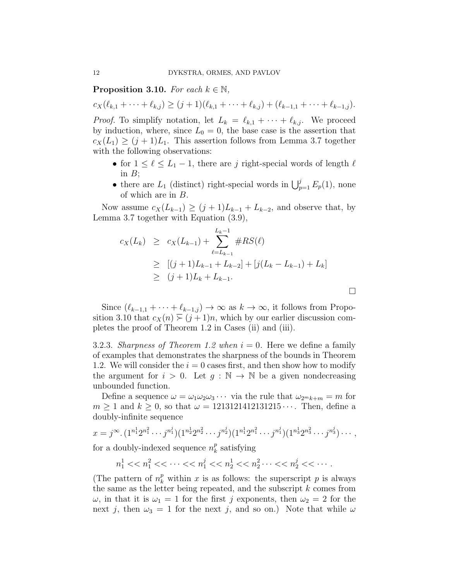**Proposition 3.10.** For each  $k \in \mathbb{N}$ ,

 $c_X(\ell_{k,1} + \cdots + \ell_{k,j}) \geq (j+1)(\ell_{k,1} + \cdots + \ell_{k,j}) + (\ell_{k-1,1} + \cdots + \ell_{k-1,j}).$ 

*Proof.* To simplify notation, let  $L_k = \ell_{k,1} + \cdots + \ell_{k,j}$ . We proceed by induction, where, since  $L_0 = 0$ , the base case is the assertion that  $c_X(L_1) \geq (j+1)L_1$ . This assertion follows from Lemma 3.7 together with the following observations:

- for  $1 \leq \ell \leq L_1 1$ , there are j right-special words of length  $\ell$ in  $B$ ;
- there are  $L_1$  (distinct) right-special words in  $\bigcup_{p=1}^{j} E_p(1)$ , none of which are in B.

Now assume  $c_X(L_{k-1}) \geq (j+1)L_{k-1} + L_{k-2}$ , and observe that, by Lemma 3.7 together with Equation (3.9),

$$
c_X(L_k) \ge c_X(L_{k-1}) + \sum_{\ell=L_{k-1}}^{L_k-1} \#RS(\ell)
$$
  
\n
$$
\ge [(j+1)L_{k-1} + L_{k-2}] + [j(L_k - L_{k-1}) + L_k]
$$
  
\n
$$
\ge (j+1)L_k + L_{k-1}.
$$

 $\Box$ 

Since  $(\ell_{k-1,1} + \cdots + \ell_{k-1,j}) \rightarrow \infty$  as  $k \rightarrow \infty$ , it follows from Proposition 3.10 that  $c_X(n) \geq (j + 1)n$ , which by our earlier discussion completes the proof of Theorem 1.2 in Cases (ii) and (iii).

3.2.3. Sharpness of Theorem 1.2 when  $i = 0$ . Here we define a family of examples that demonstrates the sharpness of the bounds in Theorem 1.2. We will consider the  $i = 0$  cases first, and then show how to modify the argument for  $i > 0$ . Let  $q : \mathbb{N} \to \mathbb{N}$  be a given nondecreasing unbounded function.

Define a sequence  $\omega = \omega_1 \omega_2 \omega_3 \cdots$  via the rule that  $\omega_{2m}{}_{k+m} = m$  for  $m \geq 1$  and  $k \geq 0$ , so that  $\omega = 1213121412131215 \cdots$ . Then, define a doubly-infinite sequence

$$
x = j^{\infty} \cdot (1^{n_1^1} 2^{n_1^2} \cdots j^{n_1^j}) (1^{n_2^1} 2^{n_2^2} \cdots j^{n_2^j}) (1^{n_1^1} 2^{n_1^2} \cdots j^{n_1^j}) (1^{n_3^1} 2^{n_3^2} \cdots j^{n_3^j}) \cdots,
$$

for a doubly-indexed sequence  $n_k^p$  $\frac{p}{k}$  satisfying

 $n_1^1 << n_1^2 << \cdots << n_1^j << n_2^1 << n_2^2 \cdots << n_2^j << \cdots$ 

(The pattern of  $n_k^p$  within x is as follows: the superscript p is always the same as the letter being repeated, and the subscript  $k$  comes from  $\omega$ , in that it is  $\omega_1 = 1$  for the first j exponents, then  $\omega_2 = 2$  for the next j, then  $\omega_3 = 1$  for the next j, and so on.) Note that while  $\omega$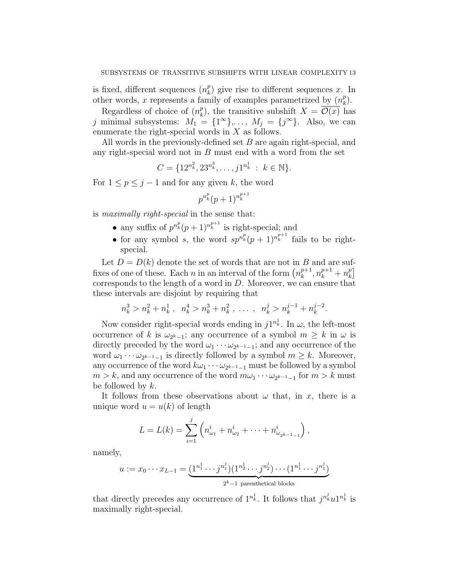is fixed, different sequences  $(n_k^p)$  $\binom{p}{k}$  give rise to different sequences x. In other words, x represents a family of examples parametrized by  $(n_k^p)$  $_{k}^{p}).$ 

Regardless of choice of  $(n_k^p)$  $_{k}^{p}$ ), the transitive subshift  $X = \mathcal{O}(x)$  has j minimal subsystems:  $M_1 = \{1^{\infty}\}, \ldots, M_j = \{j^{\infty}\}.$  Also, we can enumerate the right-special words in  $X$  as follows.

All words in the previously-defined set B are again right-special, and any right-special word not in B must end with a word from the set

$$
C = \{12^{n_k^2}, 23^{n_k^3}, \dots, j1^{n_k^1} : k \in \mathbb{N}\}.
$$

For  $1 \leq p \leq j-1$  and for any given k, the word

$$
p^{n_k^p}(p+1)^{n_k^{p+1}}
$$

is maximally right-special in the sense that:

- any suffix of  $p^{n_k^p}(p+1)^{n_k^{p+1}}$  is right-special; and
- for any symbol s, the word  $sp^{n_k^p}(p+1)^{n_k^{p+1}}$  fails to be rightspecial.

Let  $D = D(k)$  denote the set of words that are not in B and are suffixes of one of these. Each *n* in an interval of the form  $\left(n_k^{p+1}\right)$  $n_k^{p+1}, n_k^{p+1}+n_k^p$  $_{k}^{p}$ ] corresponds to the length of a word in D. Moreover, we can ensure that these intervals are disjoint by requiring that

$$
n_k^3 > n_k^2 + n_k^1, \ \ n_k^4 > n_k^3 + n_k^2, \ \ \ldots \ , \ \ n_k^j > n_k^{j-1} + n_k^{j-2}.
$$

Now consider right-special words ending in  $j1^{n_k^1}$ . In  $\omega$ , the left-most occurrence of k is  $\omega_{2^k-1}$ ; any occurrence of a symbol  $m \geq k$  in  $\omega$  is directly preceded by the word  $\omega_1 \cdots \omega_{2^{k-1}-1}$ ; and any occurrence of the word  $\omega_1 \cdots \omega_{2^{k-1}-1}$  is directly followed by a symbol  $m \geq k$ . Moreover, any occurrence of the word  $k\omega_1 \cdots \omega_{2^{k-1}-1}$  must be followed by a symbol  $m > k$ , and any occurrence of the word  $m\omega_1 \cdots \omega_{2^{k-1}-1}$  for  $m > k$  must be followed by  $k$ .

It follows from these observations about  $\omega$  that, in x, there is a unique word  $u = u(k)$  of length

$$
L = L(k) = \sum_{i=1}^{j} \left( n_{\omega_1}^i + n_{\omega_2}^i + \dots + n_{\omega_{2^{k-1}-1}}^i \right),
$$

namely,

$$
u := x_0 \cdots x_{L-1} = \underbrace{(1^{n_1^1} \cdots j^{n_1^j})(1^{n_2^1} \cdots j^{n_2^j}) \cdots (1^{n_1^1} \cdots j^{n_1^j})}_{2^k-1 \text{ parenthetical blocks}}
$$

that directly precedes any occurrence of  $1^{n_k^1}$ . It follows that  $j^{n_k^j}u1^{n_k^1}$  is maximally right-special.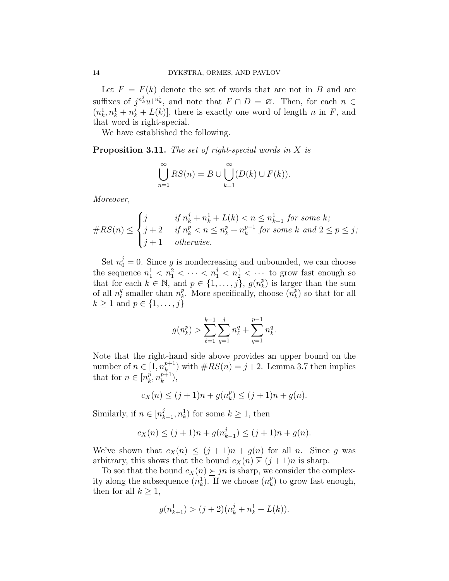Let  $F = F(k)$  denote the set of words that are not in B and are suffixes of  $j^{n_k^j}u1^{n_k^1}$ , and note that  $F \cap D = \emptyset$ . Then, for each  $n \in$  $(n_k^1, n_k^1 + n_k^j + L(k))$ , there is exactly one word of length n in F, and that word is right-special.

We have established the following.

**Proposition 3.11.** The set of right-special words in  $X$  is

$$
\bigcup_{n=1}^{\infty} RS(n) = B \cup \bigcup_{k=1}^{\infty} (D(k) \cup F(k)).
$$

Moreover,

#RS(n) ≤ j if n j <sup>k</sup> + n 1 <sup>k</sup> + L(k) < n ≤ n 1 <sup>k</sup>+1 for some k; j + 2 if n p <sup>k</sup> < n ≤ n p <sup>k</sup> + n p−1 k for some k and 2 ≤ p ≤ j; j + 1 otherwise.

Set  $n_0^j = 0$ . Since g is nondecreasing and unbounded, we can choose the sequence  $n_1^1 < n_1^2 < \cdots < n_1^j < n_2^1 < \cdots$  to grow fast enough so that for each  $k \in \mathbb{N}$ , and  $p \in \{1, \ldots, j\}$ ,  $g(n_k^p)$  $\binom{p}{k}$  is larger than the sum of all  $n_{\ell}^q$  $\frac{q}{\ell}$  smaller than  $n_k^p$  $\stackrel{p}{k}$ . More specifically, choose  $\binom{n}{k}$  $\binom{p}{k}$  so that for all  $k \geq 1$  and  $p \in \{1, \ldots, j\}$ 

$$
g(n_k^p) > \sum_{\ell=1}^{k-1} \sum_{q=1}^j n_\ell^q + \sum_{q=1}^{p-1} n_k^q.
$$

Note that the right-hand side above provides an upper bound on the number of  $n \in \left[1, n_k^{p+1}\right]$  $(k+1)$  with  $\#RS(n) = j+2$ . Lemma 3.7 then implies that for  $n \in [n_k^p]$  $_{k}^{p},n_{k}^{p+1}$  $_{k}^{p+1}),$ 

$$
c_X(n) \le (j+1)n + g(n_k^p) \le (j+1)n + g(n).
$$

Similarly, if  $n \in [n_k^j]$  $\{(\mathbf{x}_{k-1}, \mathbf{n}_k^1) \text{ for some } k \geq 1, \text{ then }$ 

$$
c_X(n) \le (j+1)n + g(n_{k-1}^j) \le (j+1)n + g(n).
$$

We've shown that  $c_X(n) \leq (j+1)n + g(n)$  for all n. Since g was arbitrary, this shows that the bound  $c_X(n) \geq (j + 1)n$  is sharp.

To see that the bound  $c_X(n) \geq j_n$  is sharp, we consider the complexity along the subsequence  $(n_k^1)$ . If we choose  $(n_k^p)$  $\binom{p}{k}$  to grow fast enough, then for all  $k \geq 1$ ,

$$
g(n^1_{k+1}) > (j+2)(n^j_k + n^1_k + L(k)).
$$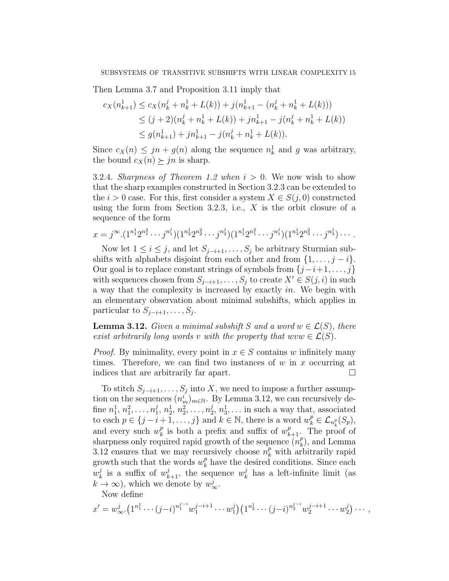Then Lemma 3.7 and Proposition 3.11 imply that

$$
c_X(n_{k+1}^1) \le c_X(n_k^j + n_k^1 + L(k)) + j(n_{k+1}^1 - (n_k^j + n_k^1 + L(k)))
$$
  
\n
$$
\le (j+2)(n_k^j + n_k^1 + L(k)) + jn_{k+1}^1 - j(n_k^j + n_k^1 + L(k))
$$
  
\n
$$
\le g(n_{k+1}^1) + jn_{k+1}^1 - j(n_k^j + n_k^1 + L(k)).
$$

Since  $c_X(n) \leq jn + g(n)$  along the sequence  $n_k^1$  and g was arbitrary, the bound  $c_X(n) \succ j_n$  is sharp.

3.2.4. Sharpness of Theorem 1.2 when  $i > 0$ . We now wish to show that the sharp examples constructed in Section 3.2.3 can be extended to the  $i > 0$  case. For this, first consider a system  $X \in S(j, 0)$  constructed using the form from Section 3.2.3, i.e.,  $X$  is the orbit closure of a sequence of the form

$$
x = j^{\infty} \cdot (1^{n_1^1} 2^{n_1^2} \cdots j^{n_1^j}) (1^{n_2^1} 2^{n_2^2} \cdots j^{n_2^j}) (1^{n_1^1} 2^{n_1^2} \cdots j^{n_1^j}) (1^{n_3^1} 2^{n_3^2} \cdots j^{n_3^j}) \cdots
$$

Now let  $1 \leq i \leq j$ , and let  $S_{j-i+1}, \ldots, S_j$  be arbitrary Sturmian subshifts with alphabets disjoint from each other and from  $\{1, \ldots, j - i\}$ . Our goal is to replace constant strings of symbols from  $\{j-i+1,\ldots,j\}$ with sequences chosen from  $S_{j-i+1}, \ldots, S_j$  to create  $X' \in S(j, i)$  in such a way that the complexity is increased by exactly in. We begin with an elementary observation about minimal subshifts, which applies in particular to  $S_{j-i+1}, \ldots, S_j$ .

**Lemma 3.12.** Given a minimal subshift S and a word  $w \in \mathcal{L}(S)$ , there exist arbitrarily long words v with the property that  $uvw \in \mathcal{L}(S)$ .

*Proof.* By minimality, every point in  $x \in S$  contains w infinitely many times. Therefore, we can find two instances of  $w$  in  $x$  occurring at indices that are arbitrarily far apart.

To stitch  $S_{j-i+1}, \ldots, S_j$  into X, we need to impose a further assumption on the sequences  $(n_m^i)_{m \in \mathbb{N}}$ . By Lemma 3.12, we can recursively define  $n_1^1, n_1^2, \ldots, n_1^j$  $j_1, n_2^1, n_2^2, \ldots, n_2^j$  $\frac{j}{2}, n_3^1, \ldots$  in such a way that, associated to each  $p \in \{j-i+1,\ldots,j\}$  and  $k \in \mathbb{N}$ , there is a word  $w_k^p \in \mathcal{L}_{n_k^p}(S_p)$ , and every such  $w_k^p$  $\hat{k}_k$  is both a prefix and suffix of  $w_{k+1}^p$ . The proof of sharpness only required rapid growth of the sequence  $\overline{n}_k^p$  $_k^p$ , and Lemma 3.12 ensures that we may recursively choose  $n_k^p$  with arbitrarily rapid growth such that the words  $w_k^p$  $\frac{p}{k}$  have the desired conditions. Since each  $w_k^j$  $\frac{d}{dx}$  is a suffix of  $w_{k+1}^j$ , the sequence  $w_k^j$  $\frac{d}{k}$  has a left-infinite limit (as  $k \to \infty$ ), which we denote by  $w_{\infty}^j$ .

Now define

$$
x' = w_{\infty}^j \cdot (1^{n_1^1} \cdots (j-i)^{n_1^{j-i}} w_1^{j-i+1} \cdots w_1^j) (1^{n_2^1} \cdots (j-i)^{n_2^{j-i}} w_2^{j-i+1} \cdots w_2^j) \cdots,
$$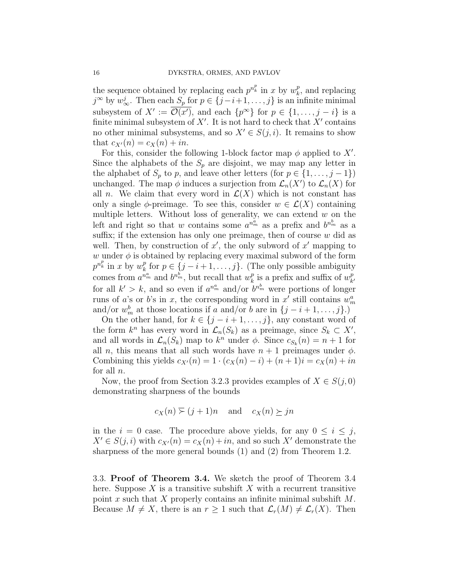the sequence obtained by replacing each  $p^{n_k^p}$  in x by  $w_k^p$  $_k^p$ , and replacing  $j^{\infty}$  by  $w_{\infty}^{j}$ . Then each  $S_p$  for  $p \in \{j-i+1,\ldots,j\}$  is an infinite minimal subsystem of  $X' := \overline{\mathcal{O}(x')}$ , and each  $\{p^{\infty}\}\$ for  $p \in \{1, \ldots, j - i\}$  is a finite minimal subsystem of  $X'$ . It is not hard to check that  $X'$  contains no other minimal subsystems, and so  $X' \in S(j, i)$ . It remains to show that  $c_{X'}(n) = c_X(n) + in$ .

For this, consider the following 1-block factor map  $\phi$  applied to X'. Since the alphabets of the  $S_p$  are disjoint, we may map any letter in the alphabet of  $S_p$  to p, and leave other letters (for  $p \in \{1, \ldots, j-1\}$ ) unchanged. The map  $\phi$  induces a surjection from  $\mathcal{L}_n(X')$  to  $\mathcal{L}_n(X)$  for all n. We claim that every word in  $\mathcal{L}(X)$  which is not constant has only a single  $\phi$ -preimage. To see this, consider  $w \in \mathcal{L}(X)$  containing multiple letters. Without loss of generality, we can extend  $w$  on the left and right so that w contains some  $a^{n_m^a}$  as a prefix and  $b^{n_m^b}$  as a suffix; if the extension has only one preimage, then of course  $w$  did as well. Then, by construction of  $x'$ , the only subword of  $x'$  mapping to w under  $\phi$  is obtained by replacing every maximal subword of the form  $p^{n_k^p}$  in x by  $w_k^p$  $_k^p$  for  $p \in \{j-i+1,\ldots,j\}$ . (The only possible ambiguity comes from  $a^{n_m^a}$  and  $b^{n_m^b}$ , but recall that  $w_k^p$  $\frac{p}{k}$  is a prefix and suffix of  $w_k^p$  $k'$ for all  $k' > k$ , and so even if  $a^{n_m^a}$  and/or  $b^{n_m^b}$  were portions of longer runs of a's or b's in x, the corresponding word in x' still contains  $w_m^a$ and/or  $w_m^b$  at those locations if a and/or b are in  $\{j - i + 1, \ldots, j\}$ .)

On the other hand, for  $k \in \{j - i + 1, \ldots, j\}$ , any constant word of the form  $k^n$  has every word in  $\mathcal{L}_n(S_k)$  as a preimage, since  $S_k \subset X'$ , and all words in  $\mathcal{L}_n(S_k)$  map to  $k^n$  under  $\phi$ . Since  $c_{S_k}(n) = n + 1$  for all n, this means that all such words have  $n + 1$  preimages under  $\phi$ . Combining this yields  $c_{X}(n) = 1 \cdot (c_X(n) - i) + (n + 1)i = c_X(n) + in$ for all  $n$ .

Now, the proof from Section 3.2.3 provides examples of  $X \in S(j, 0)$ demonstrating sharpness of the bounds

$$
c_X(n) \geq (j+1)n
$$
 and  $c_X(n) \geq jn$ 

in the  $i = 0$  case. The procedure above yields, for any  $0 \leq i \leq j$ ,  $X' \in S(j, i)$  with  $c_{X'}(n) = c_X(n) + in$ , and so such X' demonstrate the sharpness of the more general bounds (1) and (2) from Theorem 1.2.

3.3. Proof of Theorem 3.4. We sketch the proof of Theorem 3.4 here. Suppose  $X$  is a transitive subshift  $X$  with a recurrent transitive point x such that X properly contains an infinite minimal subshift  $M$ . Because  $M \neq X$ , there is an  $r \geq 1$  such that  $\mathcal{L}_r(M) \neq \mathcal{L}_r(X)$ . Then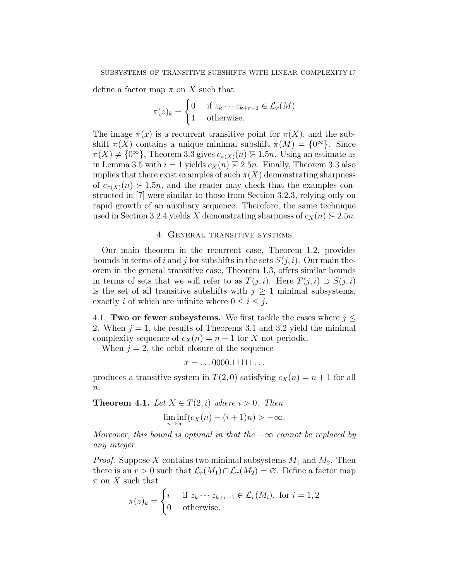define a factor map  $\pi$  on X such that

$$
\pi(z)_k = \begin{cases} 0 & \text{if } z_k \cdots z_{k+r-1} \in \mathcal{L}_r(M) \\ 1 & \text{otherwise.} \end{cases}
$$

The image  $\pi(x)$  is a recurrent transitive point for  $\pi(X)$ , and the subshift  $\pi(X)$  contains a unique minimal subshift  $\pi(M) = \{0^{\infty}\}.$  Since  $\pi(X) \neq \{0^{\infty}\}\$ , Theorem 3.3 gives  $c_{\pi(X)}(n) \geq 1.5n$ . Using an estimate as in Lemma 3.5 with  $i = 1$  yields  $c_X(n) \ge 2.5n$ . Finally, Theorem 3.3 also implies that there exist examples of such  $\pi(X)$  demonstrating sharpness of  $c_{\pi(X)}(n) \geq 1.5n$ , and the reader may check that the examples constructed in [7] were similar to those from Section 3.2.3, relying only on rapid growth of an auxiliary sequence. Therefore, the same technique used in Section 3.2.4 yields X demonstrating sharpness of  $c_X(n) \geq 2.5n$ .

## 4. General transitive systems

Our main theorem in the recurrent case, Theorem 1.2, provides bounds in terms of i and j for subshifts in the sets  $S(j, i)$ . Our main theorem in the general transitive case, Theorem 1.3, offers similar bounds in terms of sets that we will refer to as  $T(j, i)$ . Here  $T(j, i) \supset S(j, i)$ is the set of all transitive subshifts with  $j \geq 1$  minimal subsystems, exactly i of which are infinite where  $0 \leq i \leq j$ .

4.1. Two or fewer subsystems. We first tackle the cases where  $j \leq$ 2. When  $j = 1$ , the results of Theorems 3.1 and 3.2 yield the minimal complexity sequence of  $c_X(n) = n + 1$  for X not periodic.

When  $j = 2$ , the orbit closure of the sequence

$$
x=\ldots 0000.11111\ldots
$$

produces a transitive system in  $T(2,0)$  satisfying  $c_X(n) = n + 1$  for all  $n$ .

**Theorem 4.1.** Let  $X \in T(2, i)$  where  $i > 0$ . Then

 $\liminf_{n\to\infty} (c_X(n)-(i+1)n) > -\infty.$ 

Moreover, this bound is optimal in that the  $-\infty$  cannot be replaced by any integer.

*Proof.* Suppose X contains two minimal subsystems  $M_1$  and  $M_2$ . Then there is an  $r > 0$  such that  $\mathcal{L}_r(M_1) \cap \mathcal{L}_r(M_2) = \emptyset$ . Define a factor map  $\pi$  on X such that

$$
\pi(z)_k = \begin{cases} i & \text{if } z_k \cdots z_{k+r-1} \in \mathcal{L}_r(M_i), \text{ for } i = 1, 2 \\ 0 & \text{otherwise.} \end{cases}
$$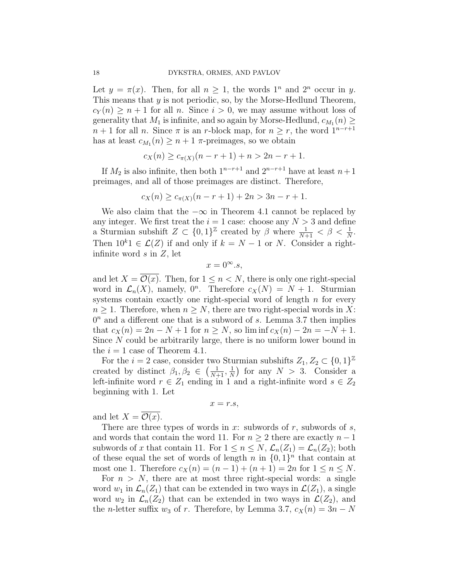Let  $y = \pi(x)$ . Then, for all  $n \geq 1$ , the words  $1^n$  and  $2^n$  occur in y. This means that  $y$  is not periodic, so, by the Morse-Hedlund Theorem,  $c_Y(n) \geq n+1$  for all n. Since  $i > 0$ , we may assume without loss of generality that  $M_1$  is infinite, and so again by Morse-Hedlund,  $c_{M_1}(n) \geq$  $n + 1$  for all n. Since  $\pi$  is an r-block map, for  $n \geq r$ , the word  $1^{n-r+1}$ has at least  $c_{M_1}(n) \geq n+1$   $\pi$ -preimages, so we obtain

$$
c_X(n) \ge c_{\pi(X)}(n-r+1) + n > 2n - r + 1.
$$

If  $M_2$  is also infinite, then both  $1^{n-r+1}$  and  $2^{n-r+1}$  have at least  $n+1$ preimages, and all of those preimages are distinct. Therefore,

$$
c_X(n) \ge c_{\pi(X)}(n-r+1) + 2n > 3n - r + 1.
$$

We also claim that the  $-\infty$  in Theorem 4.1 cannot be replaced by any integer. We first treat the  $i = 1$  case: choose any  $N > 3$  and define a Sturmian subshift  $Z \subset \{0,1\}^{\mathbb{Z}}$  created by  $\beta$  where  $\frac{1}{N+1} < \beta < \frac{1}{N}$ . Then  $10^{k}$ 1 ∈  $\mathcal{L}(Z)$  if and only if  $k = N - 1$  or N. Consider a rightinfinite word  $s$  in  $Z$ , let

$$
x = 0^{\infty}.s,
$$

and let  $X = \overline{\mathcal{O}(x)}$ . Then, for  $1 \leq n \leq N$ , there is only one right-special word in  $\mathcal{L}_n(X)$ , namely,  $0^n$ . Therefore  $c_X(N) = N + 1$ . Sturmian systems contain exactly one right-special word of length  $n$  for every  $n \geq 1$ . Therefore, when  $n \geq N$ , there are two right-special words in X:  $0<sup>n</sup>$  and a different one that is a subword of s. Lemma 3.7 then implies that  $c_X(n) = 2n - N + 1$  for  $n \ge N$ , so  $\liminf c_X(n) - 2n = -N + 1$ . Since N could be arbitrarily large, there is no uniform lower bound in the  $i = 1$  case of Theorem 4.1.

For the  $i = 2$  case, consider two Sturmian subshifts  $Z_1, Z_2 \subset \{0, 1\}^{\mathbb{Z}}$ created by distinct  $\beta_1, \beta_2 \in \left(\frac{1}{N+1}, \frac{1}{N}\right)$  $\frac{1}{N}$  for any  $N > 3$ . Consider a left-infinite word  $r \in Z_1$  ending in 1 and a right-infinite word  $s \in Z_2$ beginning with 1. Let

$$
x=r.s,
$$

and let  $X = \mathcal{O}(x)$ .

There are three types of words in x: subwords of r, subwords of s, and words that contain the word 11. For  $n \geq 2$  there are exactly  $n-1$ subwords of x that contain 11. For  $1 \leq n \leq N$ ,  $\mathcal{L}_n(Z_1) = \mathcal{L}_n(Z_2)$ ; both of these equal the set of words of length n in  $\{0,1\}^n$  that contain at most one 1. Therefore  $c_X(n) = (n-1) + (n+1) = 2n$  for  $1 \le n \le N$ .

For  $n > N$ , there are at most three right-special words: a single word  $w_1$  in  $\mathcal{L}_n(Z_1)$  that can be extended in two ways in  $\mathcal{L}(Z_1)$ , a single word  $w_2$  in  $\mathcal{L}_n(Z_2)$  that can be extended in two ways in  $\mathcal{L}(Z_2)$ , and the *n*-letter suffix  $w_3$  of r. Therefore, by Lemma 3.7,  $c_X(n) = 3n - N$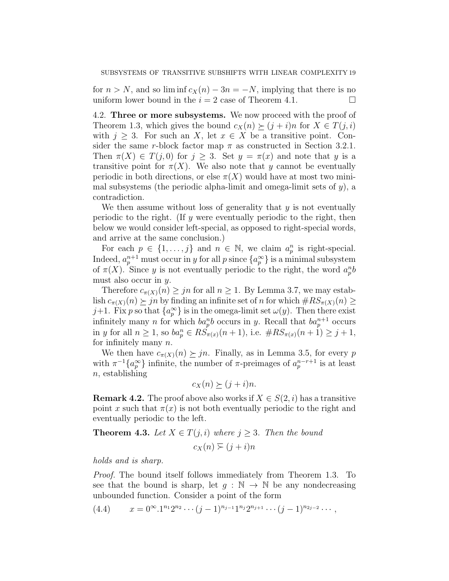for  $n > N$ , and so lim inf  $c_X(n) - 3n = -N$ , implying that there is no uniform lower bound in the  $i = 2$  case of Theorem 4.1.

4.2. Three or more subsystems. We now proceed with the proof of Theorem 1.3, which gives the bound  $c_X(n) \geq (j + i)n$  for  $X \in T(j, i)$ with  $j \geq 3$ . For such an X, let  $x \in X$  be a transitive point. Consider the same r-block factor map  $\pi$  as constructed in Section 3.2.1. Then  $\pi(X) \in T(j,0)$  for  $j \geq 3$ . Set  $y = \pi(x)$  and note that y is a transitive point for  $\pi(X)$ . We also note that y cannot be eventually periodic in both directions, or else  $\pi(X)$  would have at most two minimal subsystems (the periodic alpha-limit and omega-limit sets of  $y$ ), a contradiction.

We then assume without loss of generality that  $y$  is not eventually periodic to the right. (If  $y$  were eventually periodic to the right, then below we would consider left-special, as opposed to right-special words, and arrive at the same conclusion.)

For each  $p \in \{1, \ldots, j\}$  and  $n \in \mathbb{N}$ , we claim  $a_p^n$  is right-special. Indeed,  $a_p^{n+1}$  must occur in y for all p since  $\{a_p^{\infty}\}\)$  is a minimal subsystem of  $\pi(X)$ . Since y is not eventually periodic to the right, the word  $a_p^n b$ must also occur in y.

Therefore  $c_{\pi(X)}(n) \geq jn$  for all  $n \geq 1$ . By Lemma 3.7, we may establish  $c_{\pi(X)}(n) \geq jn$  by finding an infinite set of n for which  $\#RS_{\pi(X)}(n) \geq$ j+1. Fix p so that  $\{a_p^{\infty}\}\$ is in the omega-limit set  $\omega(y)$ . Then there exist infinitely many *n* for which  $ba_p^n b$  occurs in *y*. Recall that  $ba_p^{n+1}$  occurs in y for all  $n \geq 1$ , so  $ba_p^n \in RS_{\pi(x)}(n+1)$ , i.e.  $\#RS_{\pi(x)}(n+1) \geq j+1$ , for infinitely many  $n$ .

We then have  $c_{\pi(X)}(n) \geq jn$ . Finally, as in Lemma 3.5, for every p with  $\pi^{-1}\lbrace a_p^{\infty} \rbrace$  infinite, the number of  $\pi$ -preimages of  $a_p^{n-r+1}$  is at least  $n$ , establishing

$$
c_X(n) \succeq (j+i)n.
$$

**Remark 4.2.** The proof above also works if  $X \in S(2, i)$  has a transitive point x such that  $\pi(x)$  is not both eventually periodic to the right and eventually periodic to the left.

**Theorem 4.3.** Let  $X \in T(j, i)$  where  $j \geq 3$ . Then the bound

 $c_X(n) \geq (i + i)n$ 

holds and is sharp.

Proof. The bound itself follows immediately from Theorem 1.3. To see that the bound is sharp, let  $q : \mathbb{N} \to \mathbb{N}$  be any nondecreasing unbounded function. Consider a point of the form

$$
(4.4) \t x = 0^{\infty}.1^{n_1}2^{n_2}\cdots (j-1)^{n_{j-1}}1^{n_j}2^{n_{j+1}}\cdots (j-1)^{n_{2j-2}}\cdots,
$$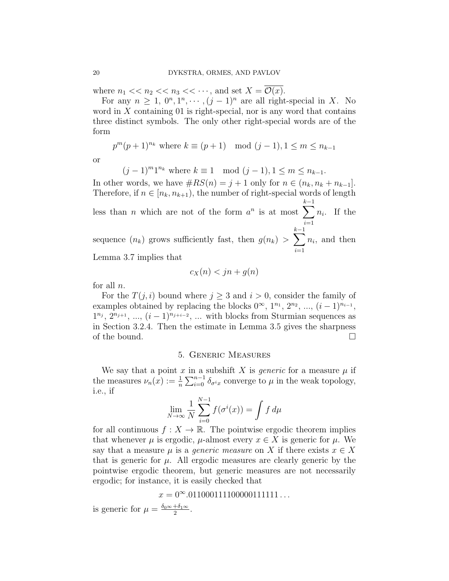where  $n_1 \ll n_2 \ll n_3 \ll \cdots$ , and set  $X = \mathcal{O}(x)$ .

For any  $n \geq 1, 0^n, 1^n, \dots, (j-1)^n$  are all right-special in X. No word in  $X$  containing 01 is right-special, nor is any word that contains three distinct symbols. The only other right-special words are of the form

 $p^{m}(p+1)^{n_{k}}$  where  $k \equiv (p+1) \mod (j-1), 1 \leq m \leq n_{k-1}$ 

or

 $(j-1)^m1^{n_k}$  where  $k \equiv 1 \mod (j-1), 1 \leq m \leq n_{k-1}.$ 

In other words, we have  $\#RS(n) = j + 1$  only for  $n \in (n_k, n_k + n_{k-1}]$ . Therefore, if  $n \in [n_k, n_{k+1})$ , the number of right-special words of length less than *n* which are not of the form  $a^n$  is at most  $\sum$  $k-1$  $i=1$  $n_i$ . If the sequence  $(n_k)$  grows sufficiently fast, then  $g(n_k) > \sum$  $k-1$  $i=1$  $n_i$ , and then Lemma 3.7 implies that

$$
c_X(n) < jn + g(n)
$$

for all  $n$ .

For the  $T(i, i)$  bound where  $i \geq 3$  and  $i > 0$ , consider the family of examples obtained by replacing the blocks  $0^{\infty}$ ,  $1^{n_1}$ ,  $2^{n_2}$ , ...,  $(i-1)^{n_{i-1}}$ ,  $1^{n_j}$ ,  $2^{n_{j+1}}$ , ...,  $(i-1)^{n_{j+i-2}}$ , ... with blocks from Sturmian sequences as in Section 3.2.4. Then the estimate in Lemma 3.5 gives the sharpness of the bound.  $\square$ 

## 5. Generic Measures

We say that a point x in a subshift X is *generic* for a measure  $\mu$  if the measures  $\nu_n(x) := \frac{1}{n} \sum_{i=0}^{n-1} \delta_{\sigma^i x}$  converge to  $\mu$  in the weak topology, i.e., if

$$
\lim_{N \to \infty} \frac{1}{N} \sum_{i=0}^{N-1} f(\sigma^i(x)) = \int f d\mu
$$

for all continuous  $f: X \to \mathbb{R}$ . The pointwise ergodic theorem implies that whenever  $\mu$  is ergodic,  $\mu$ -almost every  $x \in X$  is generic for  $\mu$ . We say that a measure  $\mu$  is a *generic measure* on X if there exists  $x \in X$ that is generic for  $\mu$ . All ergodic measures are clearly generic by the pointwise ergodic theorem, but generic measures are not necessarily ergodic; for instance, it is easily checked that

 $x = 0^{\infty} \cdot 0110001111000001111111...$ 

is generic for  $\mu = \frac{\delta_0 \infty + \delta_1 \infty}{2}$  $\frac{+\delta_1\infty}{2}$ .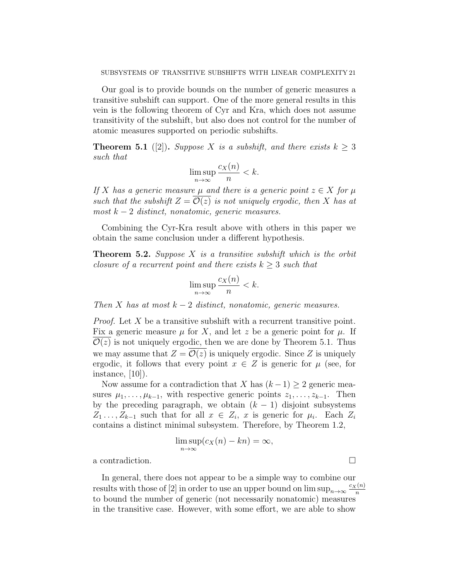Our goal is to provide bounds on the number of generic measures a transitive subshift can support. One of the more general results in this vein is the following theorem of Cyr and Kra, which does not assume transitivity of the subshift, but also does not control for the number of atomic measures supported on periodic subshifts.

**Theorem 5.1** ([2]). Suppose X is a subshift, and there exists  $k \geq 3$ such that

$$
\limsup_{n \to \infty} \frac{c_X(n)}{n} < k.
$$

If X has a generic measure  $\mu$  and there is a generic point  $z \in X$  for  $\mu$ such that the subshift  $Z = \mathcal{O}(z)$  is not uniquely ergodic, then X has at  $most\ k-2\ distinct, nonatomic, generic\ measures.$ 

Combining the Cyr-Kra result above with others in this paper we obtain the same conclusion under a different hypothesis.

**Theorem 5.2.** Suppose  $X$  is a transitive subshift which is the orbit closure of a recurrent point and there exists  $k \geq 3$  such that

$$
\limsup_{n \to \infty} \frac{c_X(n)}{n} < k.
$$

Then X has at most  $k-2$  distinct, nonatomic, generic measures.

*Proof.* Let  $X$  be a transitive subshift with a recurrent transitive point. Fix a generic measure  $\mu$  for X, and let z be a generic point for  $\mu$ . If  $\mathcal{O}(z)$  is not uniquely ergodic, then we are done by Theorem 5.1. Thus we may assume that  $Z = \mathcal{O}(z)$  is uniquely ergodic. Since Z is uniquely ergodic, it follows that every point  $x \in Z$  is generic for  $\mu$  (see, for instance, [10]).

Now assume for a contradiction that X has  $(k-1) \geq 2$  generic measures  $\mu_1, \ldots, \mu_{k-1}$ , with respective generic points  $z_1, \ldots, z_{k-1}$ . Then by the preceding paragraph, we obtain  $(k - 1)$  disjoint subsystems  $Z_1 \ldots, Z_{k-1}$  such that for all  $x \in Z_i$ , x is generic for  $\mu_i$ . Each  $Z_i$ contains a distinct minimal subsystem. Therefore, by Theorem 1.2,

$$
\limsup_{n \to \infty} (c_X(n) - kn) = \infty,
$$

a contradiction.

In general, there does not appear to be a simple way to combine our results with those of [2] in order to use an upper bound on  $\limsup_{n\to\infty} \frac{c_X(n)}{n}$ n to bound the number of generic (not necessarily nonatomic) measures in the transitive case. However, with some effort, we are able to show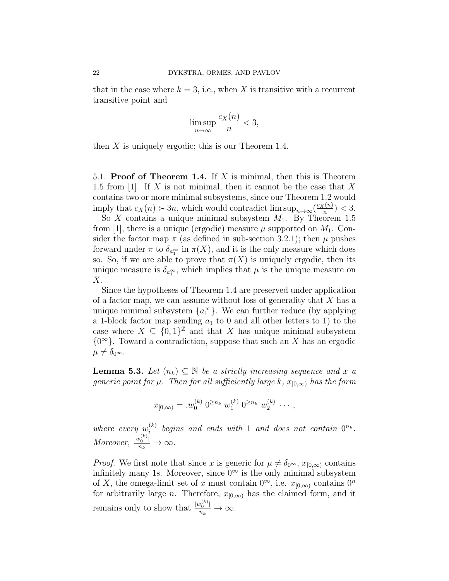that in the case where  $k = 3$ , i.e., when X is transitive with a recurrent transitive point and

$$
\limsup_{n \to \infty} \frac{c_X(n)}{n} < 3,
$$

then  $X$  is uniquely ergodic; this is our Theorem 1.4.

5.1. Proof of Theorem 1.4. If  $X$  is minimal, then this is Theorem 1.5 from [1]. If X is not minimal, then it cannot be the case that X contains two or more minimal subsystems, since our Theorem 1.2 would imply that  $c_X(n) \geq 3n$ , which would contradict lim  $\sup_{n\to\infty} \left(\frac{c_X(n)}{n}\right)$  $\frac{(n)}{n}$  > < 3.

So X contains a unique minimal subsystem  $M_1$ . By Theorem 1.5 from [1], there is a unique (ergodic) measure  $\mu$  supported on  $M_1$ . Consider the factor map  $\pi$  (as defined in sub-section 3.2.1); then  $\mu$  pushes forward under  $\pi$  to  $\delta_{a_1^{\infty}}$  in  $\pi(X)$ , and it is the only measure which does so. So, if we are able to prove that  $\pi(X)$  is uniquely ergodic, then its unique measure is  $\delta_{a_1^{\infty}}$ , which implies that  $\mu$  is the unique measure on  $X$ .

Since the hypotheses of Theorem 1.4 are preserved under application of a factor map, we can assume without loss of generality that  $X$  has a unique minimal subsystem  $\{a_1^{\infty}\}\$ . We can further reduce (by applying a 1-block factor map sending  $a_1$  to 0 and all other letters to 1) to the case where  $X \subseteq \{0,1\}^{\mathbb{Z}}$  and that X has unique minimal subsystem  ${0<sup>\infty</sup>}$ . Toward a contradiction, suppose that such an X has an ergodic  $\mu \neq \delta_{0^{\infty}}$ .

**Lemma 5.3.** Let  $(n_k) \subseteq \mathbb{N}$  be a strictly increasing sequence and x a generic point for  $\mu$ . Then for all sufficiently large k,  $x_{[0,\infty)}$  has the form

$$
x_{[0,\infty)} = w_0^{(k)} 0^{\geq n_k} w_1^{(k)} 0^{\geq n_k} w_2^{(k)} \cdots,
$$

where every  $w_i^{(k)}$  $\mathcal{L}_i^{(k)}$  begins and ends with 1 and does not contain  $0^{n_k}$ . Moreover,  $\frac{|w_0^{(k)}|}{n_k} \to \infty$ .

*Proof.* We first note that since x is generic for  $\mu \neq \delta_{0\infty}$ ,  $x_{[0,\infty)}$  contains infinitely many 1s. Moreover, since  $0^{\infty}$  is the only minimal subsystem of X, the omega-limit set of x must contain  $0^{\infty}$ , i.e.  $x_{[0,\infty)}$  contains  $0^n$ for arbitrarily large n. Therefore,  $x_{[0,\infty)}$  has the claimed form, and it remains only to show that  $\frac{|w_0^{(k)}|}{n_k} \to \infty$ .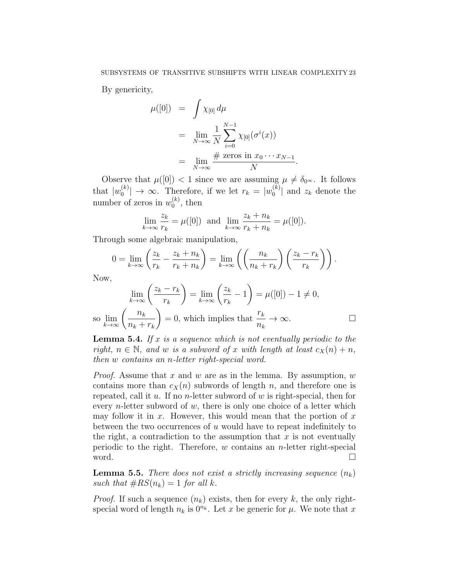By genericity,

$$
\mu([0]) = \int \chi_{[0]} d\mu
$$
  
= 
$$
\lim_{N \to \infty} \frac{1}{N} \sum_{i=0}^{N-1} \chi_{[0]}(\sigma^i(x))
$$
  
= 
$$
\lim_{N \to \infty} \frac{\# \text{ zeros in } x_0 \cdots x_{N-1}}{N}.
$$

Observe that  $\mu([0]) < 1$  since we are assuming  $\mu \neq \delta_{0^{\infty}}$ . It follows that  $|w_0^{(k)}\>$  $\binom{k}{0}$   $\rightarrow \infty$ . Therefore, if we let  $r_k = |w_0^{(k)}|$  $\binom{K}{0}$  and  $z_k$  denote the number of zeros in  $w_0^{(k)}$  $\binom{\kappa}{0}$ , then

$$
\lim_{k \to \infty} \frac{z_k}{r_k} = \mu([0]) \text{ and } \lim_{k \to \infty} \frac{z_k + n_k}{r_k + n_k} = \mu([0]).
$$

Through some algebraic manipulation,

$$
0 = \lim_{k \to \infty} \left( \frac{z_k}{r_k} - \frac{z_k + n_k}{r_k + n_k} \right) = \lim_{k \to \infty} \left( \left( \frac{n_k}{n_k + r_k} \right) \left( \frac{z_k - r_k}{r_k} \right) \right).
$$

Now,

$$
\lim_{k \to \infty} \left( \frac{z_k - r_k}{r_k} \right) = \lim_{k \to \infty} \left( \frac{z_k}{r_k} - 1 \right) = \mu([0]) - 1 \neq 0,
$$
  
so 
$$
\lim_{k \to \infty} \left( \frac{n_k}{n_k + r_k} \right) = 0
$$
, which implies that  $\frac{r_k}{n_k} \to \infty$ .

**Lemma 5.4.** If x is a sequence which is not eventually periodic to the right,  $n \in \mathbb{N}$ , and w is a subword of x with length at least  $c_X(n) + n$ , then w contains an n-letter right-special word.

*Proof.* Assume that x and w are as in the lemma. By assumption,  $w$ contains more than  $c_X(n)$  subwords of length n, and therefore one is repeated, call it  $u$ . If no *n*-letter subword of  $w$  is right-special, then for every *n*-letter subword of  $w$ , there is only one choice of a letter which may follow it in x. However, this would mean that the portion of  $x$ between the two occurrences of  $u$  would have to repeat indefinitely to the right, a contradiction to the assumption that  $x$  is not eventually periodic to the right. Therefore,  $w$  contains an  $n$ -letter right-special word. □

**Lemma 5.5.** There does not exist a strictly increasing sequence  $(n_k)$ such that  $\#RS(n_k) = 1$  for all k.

*Proof.* If such a sequence  $(n_k)$  exists, then for every k, the only rightspecial word of length  $n_k$  is  $0^{n_k}$ . Let x be generic for  $\mu$ . We note that x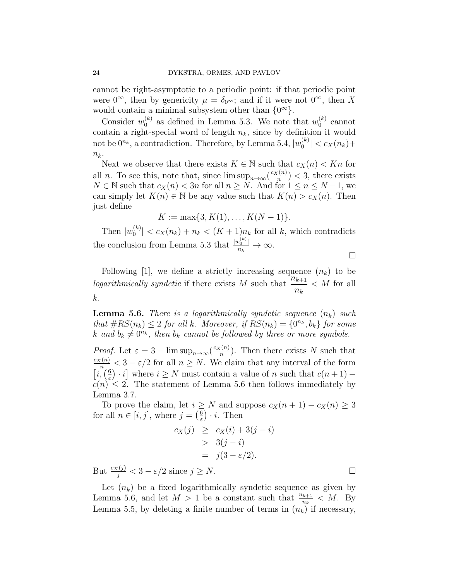cannot be right-asymptotic to a periodic point: if that periodic point were  $0^{\infty}$ , then by genericity  $\mu = \delta_{0^{\infty}}$ ; and if it were not  $0^{\infty}$ , then X would contain a minimal subsystem other than  $\{0^{\infty}\}.$ 

Consider  $w_0^{(k)}$  $\binom{k}{0}$  as defined in Lemma 5.3. We note that  $w_0^{(k)}$  $\binom{k}{0}$  cannot contain a right-special word of length  $n_k$ , since by definition it would not be  $0^{n_k}$ , a contradiction. Therefore, by Lemma 5.4,  $|w_0^{(k)}|$  $|0^{(k)}| < c_X(n_k)+$  $n_k$ .

Next we observe that there exists  $K \in \mathbb{N}$  such that  $c_X(n) < Kn$  for all *n*. To see this, note that, since  $\limsup_{n\to\infty} \left(\frac{c_X(n)}{n}\right)$  $\frac{n(n)}{n}$  > < 3, there exists  $N \in \mathbb{N}$  such that  $c_X(n) < 3n$  for all  $n \geq N$ . And for  $1 \leq n \leq N-1$ , we can simply let  $K(n) \in \mathbb{N}$  be any value such that  $K(n) > c_X(n)$ . Then just define

$$
K := \max\{3, K(1), \dots, K(N-1)\}.
$$

Then  $|w_0^{(k)}\rangle$  $|S_0^{(k)}|$  <  $c_X(n_k) + n_k < (K+1)n_k$  for all k, which contradicts the conclusion from Lemma 5.3 that  $\frac{|w_0^{(k)}|}{n_k} \to \infty$ .

 $\Box$ 

Following [1], we define a strictly increasing sequence  $(n_k)$  to be logarithmically syndetic if there exists M such that  $\frac{n_{k+1}}{n_k}$  $n_k$  $\langle M \rangle$  for all k.

**Lemma 5.6.** There is a logarithmically syndetic sequence  $(n_k)$  such that  $\#RS(n_k) \leq 2$  for all k. Moreover, if  $RS(n_k) = \{0^{n_k}, b_k\}$  for some k and  $b_k \neq 0^{n_k}$ , then  $b_k$  cannot be followed by three or more symbols.

*Proof.* Let  $\varepsilon = 3 - \limsup_{n \to \infty} \left( \frac{c_X(n)}{n} \right)$  $\frac{n(n)}{n}$ ). Then there exists N such that  $\frac{c_X(n)}{n} < 3 - \varepsilon/2$  for all  $n \geq N$ . We claim that any interval of the form  $\left[i,\left(\frac{6}{5}\right)\right]$  $\frac{6}{\varepsilon}$  · *i*] where  $i \geq N$  must contain a value of *n* such that  $c(n+1)$  –  $c(n) \leq 2$ . The statement of Lemma 5.6 then follows immediately by Lemma 3.7.

To prove the claim, let  $i \geq N$  and suppose  $c_X(n+1) - c_X(n) \geq 3$ for all  $n \in [i, j]$ , where  $j = \left(\frac{6}{5}\right)$  $(\frac{6}{\varepsilon}) \cdot i$ . Then

$$
c_X(j) \geq c_X(i) + 3(j - i)
$$
  
> 3(j - i)  
=  $j(3 - \varepsilon/2)$ .

But  $\frac{c_X(j)}{j} < 3 - \varepsilon/2$  since  $j \ge N$ .

Let  $(n_k)$  be a fixed logarithmically syndetic sequence as given by Lemma 5.6, and let  $M > 1$  be a constant such that  $\frac{n_{k+1}}{n_k} < M$ . By Lemma 5.5, by deleting a finite number of terms in  $(n_k)$  if necessary,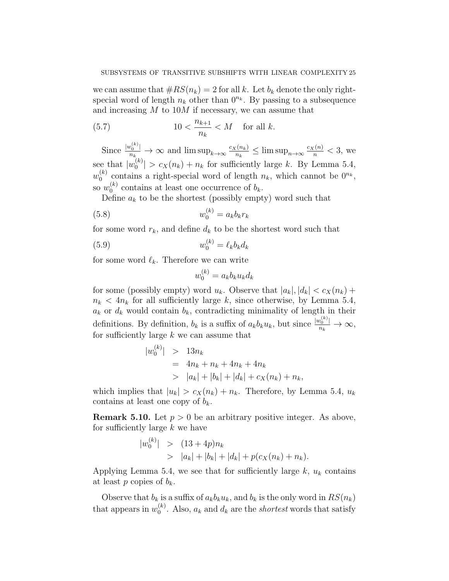we can assume that  $\#RS(n_k) = 2$  for all k. Let  $b_k$  denote the only rightspecial word of length  $n_k$  other than  $0^{n_k}$ . By passing to a subsequence and increasing  $M$  to  $10M$  if necessary, we can assume that

(5.7) 
$$
10 < \frac{n_{k+1}}{n_k} < M \quad \text{for all } k.
$$

Since  $\frac{|w_0^{(k)}|}{n_k} \to \infty$  and  $\limsup_{k \to \infty} \frac{c_X(n_k)}{n_k}$  $\frac{f(n_k)}{n_k} \leq \limsup_{n \to \infty} \frac{c_X(n)}{n} < 3$ , we see that  $|w_0^{(k)}|$  $|0 \choose 0$  >  $c_X(n_k) + n_k$  for sufficiently large k. By Lemma 5.4,  $w_0^{(k)}$  $\binom{k}{0}$  contains a right-special word of length  $n_k$ , which cannot be  $0^{n_k}$ , so  $w_0^{(k)}$  $b_0^{(k)}$  contains at least one occurrence of  $b_k$ .

Define  $a_k$  to be the shortest (possibly empty) word such that

$$
(5.8) \t\t w_0^{(k)} = a_k b_k r_k
$$

for some word  $r_k$ , and define  $d_k$  to be the shortest word such that

$$
(5.9) \t\t w_0^{(k)} = \ell_k b_k d_k
$$

for some word  $\ell_k$ . Therefore we can write

$$
w_0^{(k)} = a_k b_k u_k d_k
$$

for some (possibly empty) word  $u_k$ . Observe that  $|a_k|, |d_k| < c_X(n_k) +$  $n_k < 4n_k$  for all sufficiently large k, since otherwise, by Lemma 5.4,  $a_k$  or  $d_k$  would contain  $b_k$ , contradicting minimality of length in their definitions. By definition,  $b_k$  is a suffix of  $a_k b_k u_k$ , but since  $\frac{|w_0^{(k)}|}{n_k} \to \infty$ , for sufficiently large  $k$  we can assume that

$$
|w_0^{(k)}| > 13n_k
$$
  
=  $4n_k + n_k + 4n_k + 4n_k$   
>  $|a_k| + |b_k| + |d_k| + c_X(n_k) + n_k$ ,

which implies that  $|u_k| > c_X(n_k) + n_k$ . Therefore, by Lemma 5.4,  $u_k$ contains at least one copy of  $b_k$ .

**Remark 5.10.** Let  $p > 0$  be an arbitrary positive integer. As above, for sufficiently large  $k$  we have

$$
\begin{aligned} |w_0^{(k)}| &> (13+4p)n_k \\ &> |a_k| + |b_k| + |d_k| + p(c_X(n_k) + n_k). \end{aligned}
$$

Applying Lemma 5.4, we see that for sufficiently large  $k$ ,  $u_k$  contains at least p copies of  $b_k$ .

Observe that  $b_k$  is a suffix of  $a_k b_k u_k$ , and  $b_k$  is the only word in  $RS(n_k)$ that appears in  $w_0^{(k)}$  $\binom{k}{0}$ . Also,  $a_k$  and  $d_k$  are the *shortest* words that satisfy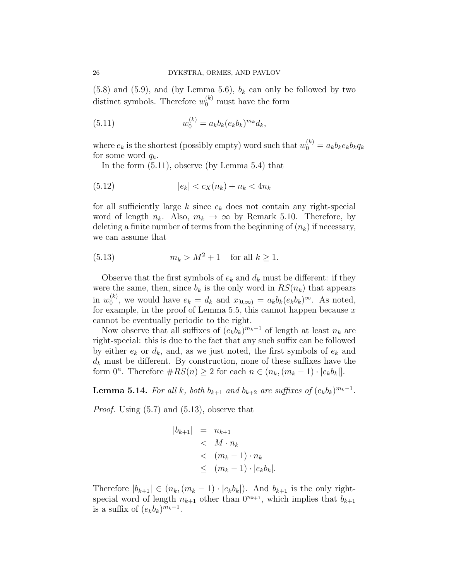$(5.8)$  and  $(5.9)$ , and (by Lemma 5.6),  $b_k$  can only be followed by two distinct symbols. Therefore  $w_0^{(k)}$  must have the form

(5.11) 
$$
w_0^{(k)} = a_k b_k (e_k b_k)^{m_k} d_k,
$$

where  $e_k$  is the shortest (possibly empty) word such that  $w_0^{(k)} = a_k b_k e_k b_k q_k$ for some word  $q_k$ .

In the form (5.11), observe (by Lemma 5.4) that

(5.12) 
$$
|e_k| < c_X(n_k) + n_k < 4n_k
$$

for all sufficiently large  $k$  since  $e_k$  does not contain any right-special word of length  $n_k$ . Also,  $m_k \to \infty$  by Remark 5.10. Therefore, by deleting a finite number of terms from the beginning of  $(n_k)$  if necessary, we can assume that

(5.13) 
$$
m_k > M^2 + 1
$$
 for all  $k \ge 1$ .

Observe that the first symbols of  $e_k$  and  $d_k$  must be different: if they were the same, then, since  $b_k$  is the only word in  $RS(n_k)$  that appears in  $w_0^{(k)}$  $\binom{k}{0}$ , we would have  $e_k = d_k$  and  $x_{[0,\infty)} = a_k b_k (e_k b_k)^\infty$ . As noted, for example, in the proof of Lemma 5.5, this cannot happen because  $x$ cannot be eventually periodic to the right.

Now observe that all suffixes of  $(e_k b_k)^{m_k-1}$  of length at least  $n_k$  are right-special: this is due to the fact that any such suffix can be followed by either  $e_k$  or  $d_k$ , and, as we just noted, the first symbols of  $e_k$  and  $d_k$  must be different. By construction, none of these suffixes have the form  $0^n$ . Therefore  $\#RS(n) \geq 2$  for each  $n \in (n_k, (m_k - 1) \cdot |e_k b_k|]$ .

**Lemma 5.14.** For all k, both  $b_{k+1}$  and  $b_{k+2}$  are suffixes of  $(e_k b_k)^{m_k-1}$ .

*Proof.* Using  $(5.7)$  and  $(5.13)$ , observe that

$$
|b_{k+1}| = n_{k+1}
$$
  

$$
< M \cdot n_k
$$
  

$$
< (m_k - 1) \cdot n_k
$$
  

$$
\leq (m_k - 1) \cdot |e_k b_k|.
$$

Therefore  $|b_{k+1}| \in (n_k,(m_k-1)\cdot |e_k b_k|)$ . And  $b_{k+1}$  is the only rightspecial word of length  $n_{k+1}$  other than  $0^{n_{k+1}}$ , which implies that  $b_{k+1}$ is a suffix of  $(e_k b_k)^{m_k-1}$ .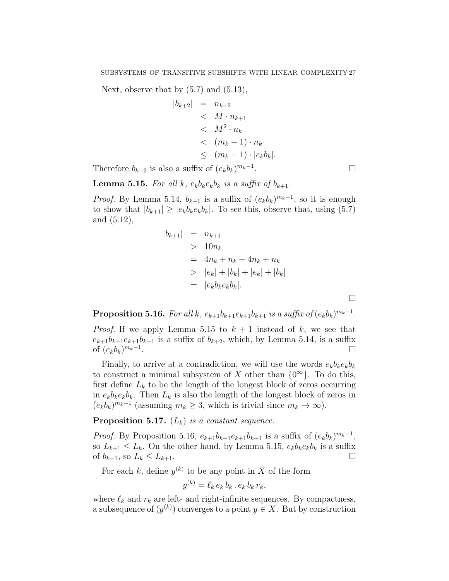Next, observe that by  $(5.7)$  and  $(5.13)$ ,

$$
|b_{k+2}| = n_{k+2}
$$
  
\n
$$
< M \cdot n_{k+1}
$$
  
\n
$$
< M^2 \cdot n_k
$$
  
\n
$$
< (m_k - 1) \cdot n_k
$$
  
\n
$$
\leq (m_k - 1) \cdot |e_k b_k|.
$$
  
\n
$$
a \text{ suffix of } (e_k b_k)^{m_k - 1}.
$$

Therefore  $b_{k+2}$  is also a suffix of  $(e_k b_k)$ 

**Lemma 5.15.** For all k,  $e_k b_k e_k b_k$  is a suffix of  $b_{k+1}$ .

*Proof.* By Lemma 5.14,  $b_{k+1}$  is a suffix of  $(e_k b_k)^{m_k-1}$ , so it is enough to show that  $|b_{k+1}| \geq |e_k b_k e_k b_k|$ . To see this, observe that, using (5.7) and (5.12),

$$
|b_{k+1}| = n_{k+1}
$$
  
> 10n<sub>k</sub>  
= 4n<sub>k</sub> + n<sub>k</sub> + 4n<sub>k</sub> + n<sub>k</sub>  
> |e<sub>k</sub>| + |b<sub>k</sub>| + |e<sub>k</sub>| + |b<sub>k</sub>|  
= |e<sub>k</sub>b<sub>k</sub>e<sub>k</sub>b<sub>k</sub>|.

**Proposition 5.16.** For all k,  $e_{k+1}b_{k+1}e_{k+1}b_{k+1}$  is a suffix of  $(e_kb_k)^{m_k-1}$ .

*Proof.* If we apply Lemma 5.15 to  $k + 1$  instead of k, we see that  $e_{k+1}b_{k+1}e_{k+1}b_{k+1}$  is a suffix of  $b_{k+2}$ , which, by Lemma 5.14, is a suffix of  $(e_k b_k)^{m_k-1}$ .

Finally, to arrive at a contradiction, we will use the words  $e_k b_k e_k b_k$ to construct a minimal subsystem of X other than  $\{0^{\infty}\}$ . To do this, first define  $L_k$  to be the length of the longest block of zeros occurring in  $e_k b_k e_k b_k$ . Then  $L_k$  is also the length of the longest block of zeros in  $(e_k b_k)^{m_k-1}$  (assuming  $m_k \geq 3$ , which is trivial since  $m_k \to \infty$ ).

**Proposition 5.17.**  $(L_k)$  is a constant sequence.

*Proof.* By Proposition 5.16,  $e_{k+1}b_{k+1}e_{k+1}b_{k+1}$  is a suffix of  $(e_k b_k)^{m_k-1}$ , so  $L_{k+1} \leq L_k$ . On the other hand, by Lemma 5.15,  $e_k b_k e_k b_k$  is a suffix of  $b_{k+1}$ , so  $L_k \leq L_{k+1}$ .

For each k, define  $y^{(k)}$  to be any point in X of the form

$$
y^{(k)} = \ell_k e_k b_k \cdot e_k b_k r_k,
$$

where  $\ell_k$  and  $r_k$  are left- and right-infinite sequences. By compactness, a subsequence of  $(y^{(k)})$  converges to a point  $y \in X$ . But by construction

 $\Box$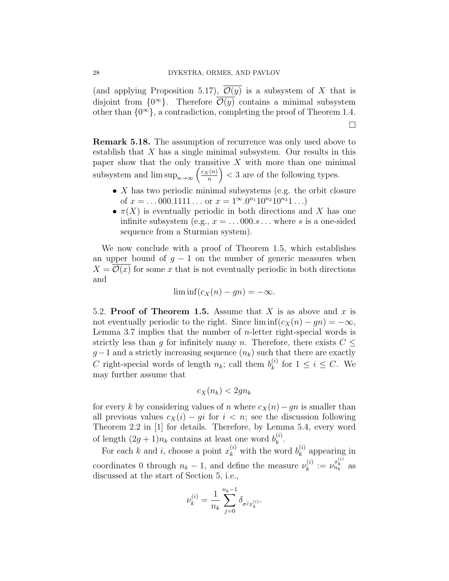(and applying Proposition 5.17),  $\mathcal{O}(y)$  is a subsystem of X that is disjoint from  $\{0^{\infty}\}.$  Therefore  $\overline{\mathcal{O}(y)}$  contains a minimal subsystem other than  $\{0^{\infty}\}\$ , a contradiction, completing the proof of Theorem 1.4.

Remark 5.18. The assumption of recurrence was only used above to establish that  $X$  has a single minimal subsystem. Our results in this paper show that the only transitive  $X$  with more than one minimal subsystem and  $\limsup_{n\to\infty}\left(\frac{c_X(n)}{n}\right)$  $\left(\frac{n(n)}{n}\right)$  < 3 are of the following types.

- $X$  has two periodic minimal subsystems (e.g. the orbit closure of  $x = ... 000.1111...$  or  $x = 1^{\infty} \cdot 0^{n_1} 10^{n_2} 10^{n_3} 1...$
- $\pi(X)$  is eventually periodic in both directions and X has one infinite subsystem (e.g.,  $x = \dots 000 \, s \dots$  where s is a one-sided sequence from a Sturmian system).

We now conclude with a proof of Theorem 1.5, which establishes an upper bound of  $g - 1$  on the number of generic measures when  $X = \mathcal{O}(x)$  for some x that is not eventually periodic in both directions and

$$
\liminf(c_X(n)-gn)=-\infty.
$$

5.2. Proof of Theorem 1.5. Assume that X is as above and x is not eventually periodic to the right. Since  $\liminf(c_X(n) - gn) = -\infty$ , Lemma 3.7 implies that the number of *n*-letter right-special words is strictly less than g for infinitely many n. Therefore, there exists  $C \leq$  $g-1$  and a strictly increasing sequence  $(n_k)$  such that there are exactly C right-special words of length  $n_k$ ; call them  $b_k^{(i)}$  $\kappa^{(i)}$  for  $1 \leq i \leq C$ . We may further assume that

$$
c_X(n_k) < 2gn_k
$$

for every k by considering values of n where  $c_X(n)-gn$  is smaller than all previous values  $c_X(i) - qi$  for  $i < n$ ; see the discussion following Theorem 2.2 in [1] for details. Therefore, by Lemma 5.4, every word of length  $(2g+1)n_k$  contains at least one word  $b_k^{(i)}$  $\mathbf{r}^{(i)}$ .

For each k and i, choose a point  $x_k^{(i)}$  with the word  $b_k^{(i)}$  $\binom{n}{k}$  appearing in coordinates 0 through  $n_k - 1$ , and define the measure  $\nu_k^{(i)}$  $\mu_k^{(i)} := \nu_{n_k}^{x_k^{(i)}}$  as discussed at the start of Section 5, i.e.,

$$
\nu_k^{(i)} = \frac{1}{n_k} \sum_{j=0}^{n_k-1} \delta_{\sigma^j x_k^{(i)}}.
$$

 $\Box$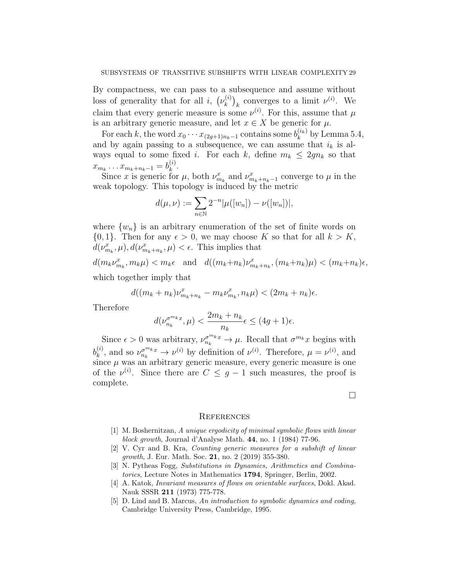By compactness, we can pass to a subsequence and assume without loss of generality that for all *i*,  $(\nu_k^{(i)})$  $\binom{k}{k}_k$  converges to a limit  $\nu^{(i)}$ . We claim that every generic measure is some  $\nu^{(i)}$ . For this, assume that  $\mu$ is an arbitrary generic measure, and let  $x \in X$  be generic for  $\mu$ .

For each k, the word  $x_0 \cdots x_{(2g+1)n_k-1}$  contains some  $b_k^{(i_k)}$  $k^{(i_k)}$  by Lemma 5.4, and by again passing to a subsequence, we can assume that  $i_k$  is always equal to some fixed *i*. For each *k*, define  $m_k \leq 2gn_k$  so that  $x_{m_k} \dots x_{m_k+n_k-1} = b_k^{(i)}$  $\frac{(i)}{k}$ .

Since x is generic for  $\mu$ , both  $\nu_{m_k}^x$  and  $\nu_{m_k+n_k-1}^x$  converge to  $\mu$  in the weak topology. This topology is induced by the metric

$$
d(\mu, \nu) := \sum_{n \in \mathbb{N}} 2^{-n} |\mu([w_n]) - \nu([w_n])|,
$$

where  $\{w_n\}$  is an arbitrary enumeration of the set of finite words on  $\{0, 1\}$ . Then for any  $\epsilon > 0$ , we may choose K so that for all  $k > K$ ,  $d(\nu_{m_k}^x, \mu), d(\nu_{m_k+n_k}^x, \mu) < \epsilon$ . This implies that

 $d(m_k\nu_{m_k}^x, m_k\mu) < m_k\epsilon$  and  $d((m_k+n_k)\nu_{m_k+n_k}^x, (m_k+n_k)\mu) < (m_k+n_k)\epsilon$ , which together imply that

$$
d((m_k + n_k)\nu_{m_k + n_k}^x - m_k\nu_{m_k}^x, n_k\mu) < (2m_k + n_k)\epsilon.
$$

Therefore

$$
d(\nu_{n_k}^{\sigma^{m_k} x}, \mu) < \frac{2m_k + n_k}{n_k} \epsilon \le (4g + 1)\epsilon.
$$

Since  $\epsilon > 0$  was arbitrary,  $\nu_{n_k}^{\sigma^{m_k} x} \to \mu$ . Recall that  $\sigma^{m_k} x$  begins with  $b_k^{(i)}$  $\mu_k^{(i)}$ , and so  $\nu_{n_k}^{\sigma^{m_k} x} \to \nu^{(i)}$  by definition of  $\nu^{(i)}$ . Therefore,  $\mu = \nu^{(i)}$ , and since  $\mu$  was an arbitrary generic measure, every generic measure is one of the  $\nu^{(i)}$ . Since there are  $C \leq g-1$  such measures, the proof is complete.

#### **REFERENCES**

[1] M. Boshernitzan, A unique ergodicity of minimal symbolic flows with linear block growth, Journal d'Analyse Math. 44, no. 1 (1984) 77-96.

 $\Box$ 

- [2] V. Cyr and B. Kra, Counting generic measures for a subshift of linear growth, J. Eur. Math. Soc. 21, no. 2 (2019) 355-380.
- [3] N. Pytheas Fogg, Substitutions in Dynamics, Arithmetics and Combinatorics, Lecture Notes in Mathematics 1794, Springer, Berlin, 2002.
- [4] A. Katok, Invariant measures of flows on orientable surfaces, Dokl. Akad. Nauk SSSR 211 (1973) 775-778.
- [5] D. Lind and B. Marcus, An introduction to symbolic dynamics and coding, Cambridge University Press, Cambridge, 1995.